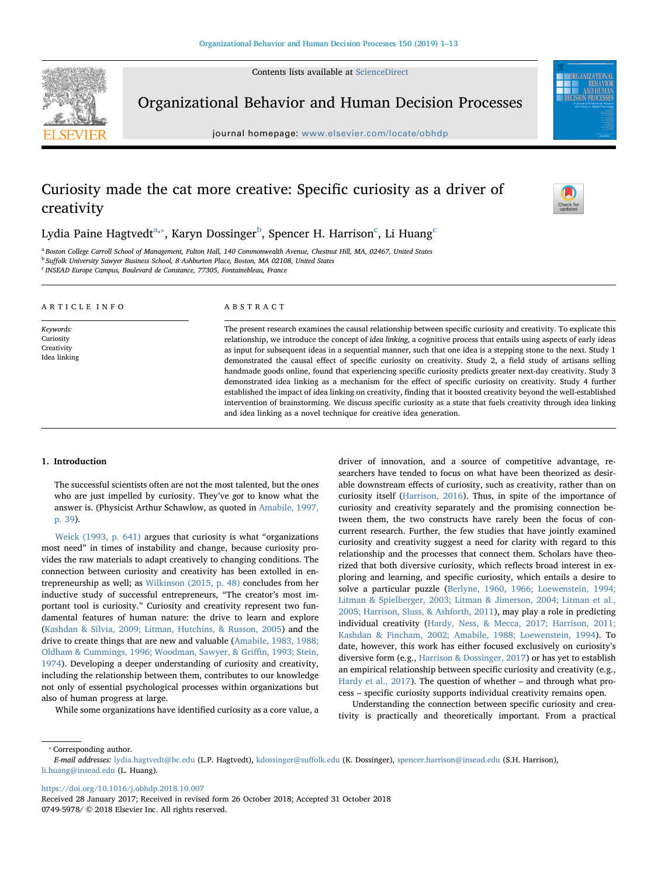Contents lists available at [ScienceDirect](http://www.sciencedirect.com/science/journal/07495978)



Organizational Behavior and Human Decision Processes

journal homepage: [www.elsevier.com/locate/obhdp](https://www.elsevier.com/locate/obhdp)

# Curiosity made the cat more creative: Specific curiosity as a driver of creativity



Lydia Paine Hagtvedt $^{\mathrm{a},*}$ , Karyn Dossinger $^{\mathrm{b}}$  $^{\mathrm{b}}$  $^{\mathrm{b}}$ , Spen[c](#page-0-3)er H. Harrison $^{\mathrm{c}}$ , Li Huang $^{\mathrm{c}}$ 

<span id="page-0-0"></span><sup>a</sup> Boston College Carroll School of Management, Fulton Hall, 140 Commonwealth Avenue, Chestnut Hill, MA, 02467, United States

<span id="page-0-2"></span><sup>b</sup> Suffolk University Sawyer Business School, 8 Ashburton Place, Boston, MA 02108, United States

<span id="page-0-3"></span><sup>c</sup> INSEAD Europe Campus, Boulevard de Constance, 77305, Fontainebleau, France

| ARTICLE INFO                                         | ABSTRACT                                                                                                                                                                                                                                                                                                                                                                                                                                                                                                                                                                                                                                                                                                                                                                                                                                                                                                                                                                    |
|------------------------------------------------------|-----------------------------------------------------------------------------------------------------------------------------------------------------------------------------------------------------------------------------------------------------------------------------------------------------------------------------------------------------------------------------------------------------------------------------------------------------------------------------------------------------------------------------------------------------------------------------------------------------------------------------------------------------------------------------------------------------------------------------------------------------------------------------------------------------------------------------------------------------------------------------------------------------------------------------------------------------------------------------|
| Keywords:<br>Curiosity<br>Creativity<br>Idea linking | The present research examines the causal relationship between specific curiosity and creativity. To explicate this<br>relationship, we introduce the concept of <i>idea linking</i> , a cognitive process that entails using aspects of early ideas<br>as input for subsequent ideas in a sequential manner, such that one idea is a stepping stone to the next. Study 1<br>demonstrated the causal effect of specific curiosity on creativity. Study 2, a field study of artisans selling<br>handmade goods online, found that experiencing specific curiosity predicts greater next-day creativity. Study 3<br>demonstrated idea linking as a mechanism for the effect of specific curiosity on creativity. Study 4 further<br>established the impact of idea linking on creativity, finding that it boosted creativity beyond the well-established<br>intervention of brainstorming. We discuss specific curiosity as a state that fuels creativity through idea linking |

and idea linking as a novel technique for creative idea generation.

## <span id="page-0-4"></span>1. Introduction

The successful scientists often are not the most talented, but the ones who are just impelled by curiosity. They've got to know what the answer is. (Physicist Arthur Schawlow, as quoted in [Amabile, 1997,](#page-10-0) [p. 39\)](#page-10-0).

[Weick \(1993, p. 641\)](#page-12-0) argues that curiosity is what "organizations most need" in times of instability and change, because curiosity provides the raw materials to adapt creatively to changing conditions. The connection between curiosity and creativity has been extolled in entrepreneurship as well; as [Wilkinson \(2015, p. 48\)](#page-12-1) concludes from her inductive study of successful entrepreneurs, "The creator's most important tool is curiosity." Curiosity and creativity represent two fundamental features of human nature: the drive to learn and explore ([Kashdan & Silvia, 2009; Litman, Hutchins, & Russon, 2005](#page-11-0)) and the drive to create things that are new and valuable [\(Amabile, 1983, 1988;](#page-10-1) [Oldham & Cummings, 1996; Woodman, Sawyer, & Gri](#page-10-1)ffin, 1993; Stein, [1974\)](#page-10-1). Developing a deeper understanding of curiosity and creativity, including the relationship between them, contributes to our knowledge not only of essential psychological processes within organizations but also of human progress at large.

While some organizations have identified curiosity as a core value, a

driver of innovation, and a source of competitive advantage, researchers have tended to focus on what have been theorized as desirable downstream effects of curiosity, such as creativity, rather than on curiosity itself ([Harrison, 2016](#page-11-1)). Thus, in spite of the importance of curiosity and creativity separately and the promising connection between them, the two constructs have rarely been the focus of concurrent research. Further, the few studies that have jointly examined curiosity and creativity suggest a need for clarity with regard to this relationship and the processes that connect them. Scholars have theorized that both diversive curiosity, which reflects broad interest in exploring and learning, and specific curiosity, which entails a desire to solve a particular puzzle [\(Berlyne, 1960, 1966; Loewenstein, 1994;](#page-10-2) [Litman & Spielberger, 2003; Litman & Jimerson, 2004; Litman et al.,](#page-10-2) [2005; Harrison, Sluss, & Ashforth, 2011](#page-10-2)), may play a role in predicting individual creativity [\(Hardy, Ness, & Mecca, 2017; Harrison, 2011;](#page-11-2) [Kashdan & Fincham, 2002; Amabile, 1988; Loewenstein, 1994](#page-11-2)). To date, however, this work has either focused exclusively on curiosity's diversive form (e.g., [Harrison & Dossinger, 2017](#page-11-3)) or has yet to establish an empirical relationship between specific curiosity and creativity (e.g., [Hardy et al., 2017\)](#page-11-2). The question of whether – and through what process – specific curiosity supports individual creativity remains open.

Understanding the connection between specific curiosity and creativity is practically and theoretically important. From a practical

<span id="page-0-1"></span>⁎ Corresponding author.

E-mail addresses: [lydia.hagtvedt@bc.edu](mailto:lydia.hagtvedt@bc.edu) (L.P. Hagtvedt), [kdossinger@su](mailto:kdossinger@suffolk.edu)ffolk.edu (K. Dossinger), [spencer.harrison@insead.edu](mailto:spencer.harrison@insead.edu) (S.H. Harrison), [li.huang@insead.edu](mailto:li.huang@insead.edu) (L. Huang).

<https://doi.org/10.1016/j.obhdp.2018.10.007>

Received 28 January 2017; Received in revised form 26 October 2018; Accepted 31 October 2018 0749-5978/ © 2018 Elsevier Inc. All rights reserved.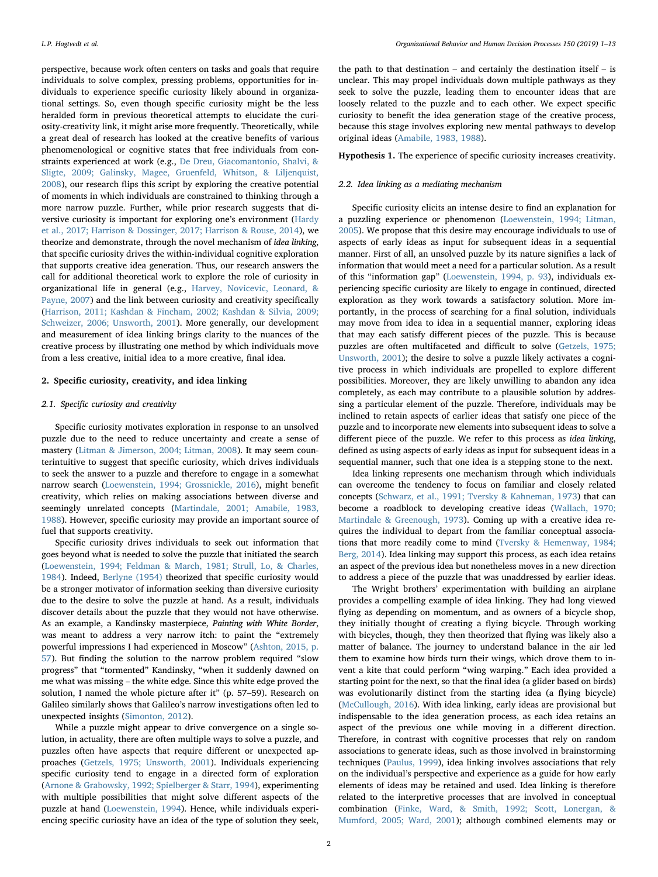perspective, because work often centers on tasks and goals that require individuals to solve complex, pressing problems, opportunities for individuals to experience specific curiosity likely abound in organizational settings. So, even though specific curiosity might be the less heralded form in previous theoretical attempts to elucidate the curiosity-creativity link, it might arise more frequently. Theoretically, while a great deal of research has looked at the creative benefits of various phenomenological or cognitive states that free individuals from constraints experienced at work (e.g., [De Dreu, Giacomantonio, Shalvi, &](#page-11-4) [Sligte, 2009; Galinsky, Magee, Gruenfeld, Whitson, & Liljenquist,](#page-11-4) [2008\)](#page-11-4), our research flips this script by exploring the creative potential of moments in which individuals are constrained to thinking through a more narrow puzzle. Further, while prior research suggests that diversive curiosity is important for exploring one's environment ([Hardy](#page-11-2) [et al., 2017; Harrison & Dossinger, 2017; Harrison & Rouse, 2014\)](#page-11-2), we theorize and demonstrate, through the novel mechanism of idea linking, that specific curiosity drives the within-individual cognitive exploration that supports creative idea generation. Thus, our research answers the call for additional theoretical work to explore the role of curiosity in organizational life in general (e.g., [Harvey, Novicevic, Leonard, &](#page-11-5) [Payne, 2007\)](#page-11-5) and the link between curiosity and creativity specifically ([Harrison, 2011; Kashdan & Fincham, 2002; Kashdan & Silvia, 2009;](#page-11-6) [Schweizer, 2006; Unsworth, 2001\)](#page-11-6). More generally, our development and measurement of idea linking brings clarity to the nuances of the creative process by illustrating one method by which individuals move from a less creative, initial idea to a more creative, final idea.

# <span id="page-1-1"></span>2. Specific curiosity, creativity, and idea linking

## 2.1. Specific curiosity and creativity

Specific curiosity motivates exploration in response to an unsolved puzzle due to the need to reduce uncertainty and create a sense of mastery [\(Litman & Jimerson, 2004; Litman, 2008\)](#page-11-7). It may seem counterintuitive to suggest that specific curiosity, which drives individuals to seek the answer to a puzzle and therefore to engage in a somewhat narrow search [\(Loewenstein, 1994; Grossnickle, 2016\)](#page-11-8), might benefit creativity, which relies on making associations between diverse and seemingly unrelated concepts [\(Martindale, 2001; Amabile, 1983,](#page-11-9) [1988\)](#page-11-9). However, specific curiosity may provide an important source of fuel that supports creativity.

Specific curiosity drives individuals to seek out information that goes beyond what is needed to solve the puzzle that initiated the search ([Loewenstein, 1994; Feldman & March, 1981; Strull, Lo, & Charles,](#page-11-8) [1984\)](#page-11-8). Indeed, [Berlyne \(1954\)](#page-10-3) theorized that specific curiosity would be a stronger motivator of information seeking than diversive curiosity due to the desire to solve the puzzle at hand. As a result, individuals discover details about the puzzle that they would not have otherwise. As an example, a Kandinsky masterpiece, Painting with White Border, was meant to address a very narrow itch: to paint the "extremely powerful impressions I had experienced in Moscow" ([Ashton, 2015, p.](#page-10-4) [57\)](#page-10-4). But finding the solution to the narrow problem required "slow progress" that "tormented" Kandinsky, "when it suddenly dawned on me what was missing – the white edge. Since this white edge proved the solution, I named the whole picture after it" (p. 57–59). Research on Galileo similarly shows that Galileo's narrow investigations often led to unexpected insights [\(Simonton, 2012\)](#page-11-10).

While a puzzle might appear to drive convergence on a single solution, in actuality, there are often multiple ways to solve a puzzle, and puzzles often have aspects that require different or unexpected approaches [\(Getzels, 1975; Unsworth, 2001\)](#page-11-11). Individuals experiencing specific curiosity tend to engage in a directed form of exploration ([Arnone & Grabowsky, 1992; Spielberger & Starr, 1994\)](#page-10-5), experimenting with multiple possibilities that might solve different aspects of the puzzle at hand ([Loewenstein, 1994\)](#page-11-8). Hence, while individuals experiencing specific curiosity have an idea of the type of solution they seek,

the path to that destination – and certainly the destination itself – is unclear. This may propel individuals down multiple pathways as they seek to solve the puzzle, leading them to encounter ideas that are loosely related to the puzzle and to each other. We expect specific curiosity to benefit the idea generation stage of the creative process, because this stage involves exploring new mental pathways to develop original ideas [\(Amabile, 1983, 1988](#page-10-1)).

<span id="page-1-0"></span>Hypothesis 1. The experience of specific curiosity increases creativity.

#### 2.2. Idea linking as a mediating mechanism

Specific curiosity elicits an intense desire to find an explanation for a puzzling experience or phenomenon ([Loewenstein, 1994; Litman,](#page-11-8) [2005\)](#page-11-8). We propose that this desire may encourage individuals to use of aspects of early ideas as input for subsequent ideas in a sequential manner. First of all, an unsolved puzzle by its nature signifies a lack of information that would meet a need for a particular solution. As a result of this "information gap" [\(Loewenstein, 1994, p. 93](#page-11-8)), individuals experiencing specific curiosity are likely to engage in continued, directed exploration as they work towards a satisfactory solution. More importantly, in the process of searching for a final solution, individuals may move from idea to idea in a sequential manner, exploring ideas that may each satisfy different pieces of the puzzle. This is because puzzles are often multifaceted and difficult to solve [\(Getzels, 1975;](#page-11-11) [Unsworth, 2001\)](#page-11-11); the desire to solve a puzzle likely activates a cognitive process in which individuals are propelled to explore different possibilities. Moreover, they are likely unwilling to abandon any idea completely, as each may contribute to a plausible solution by addressing a particular element of the puzzle. Therefore, individuals may be inclined to retain aspects of earlier ideas that satisfy one piece of the puzzle and to incorporate new elements into subsequent ideas to solve a different piece of the puzzle. We refer to this process as idea linking, defined as using aspects of early ideas as input for subsequent ideas in a sequential manner, such that one idea is a stepping stone to the next.

Idea linking represents one mechanism through which individuals can overcome the tendency to focus on familiar and closely related concepts ([Schwarz, et al., 1991; Tversky & Kahneman, 1973\)](#page-11-12) that can become a roadblock to developing creative ideas ([Wallach, 1970;](#page-12-2) [Martindale & Greenough, 1973\)](#page-12-2). Coming up with a creative idea requires the individual to depart from the familiar conceptual associations that more readily come to mind ([Tversky & Hemenway, 1984;](#page-12-3) [Berg, 2014](#page-12-3)). Idea linking may support this process, as each idea retains an aspect of the previous idea but nonetheless moves in a new direction to address a piece of the puzzle that was unaddressed by earlier ideas.

The Wright brothers' experimentation with building an airplane provides a compelling example of idea linking. They had long viewed flying as depending on momentum, and as owners of a bicycle shop, they initially thought of creating a flying bicycle. Through working with bicycles, though, they then theorized that flying was likely also a matter of balance. The journey to understand balance in the air led them to examine how birds turn their wings, which drove them to invent a kite that could perform "wing warping." Each idea provided a starting point for the next, so that the final idea (a glider based on birds) was evolutionarily distinct from the starting idea (a flying bicycle) ([McCullough, 2016\)](#page-11-13). With idea linking, early ideas are provisional but indispensable to the idea generation process, as each idea retains an aspect of the previous one while moving in a different direction. Therefore, in contrast with cognitive processes that rely on random associations to generate ideas, such as those involved in brainstorming techniques [\(Paulus, 1999\)](#page-11-14), idea linking involves associations that rely on the individual's perspective and experience as a guide for how early elements of ideas may be retained and used. Idea linking is therefore related to the interpretive processes that are involved in conceptual combination [\(Finke, Ward, & Smith, 1992; Scott, Lonergan, &](#page-11-15) [Mumford, 2005; Ward, 2001\)](#page-11-15); although combined elements may or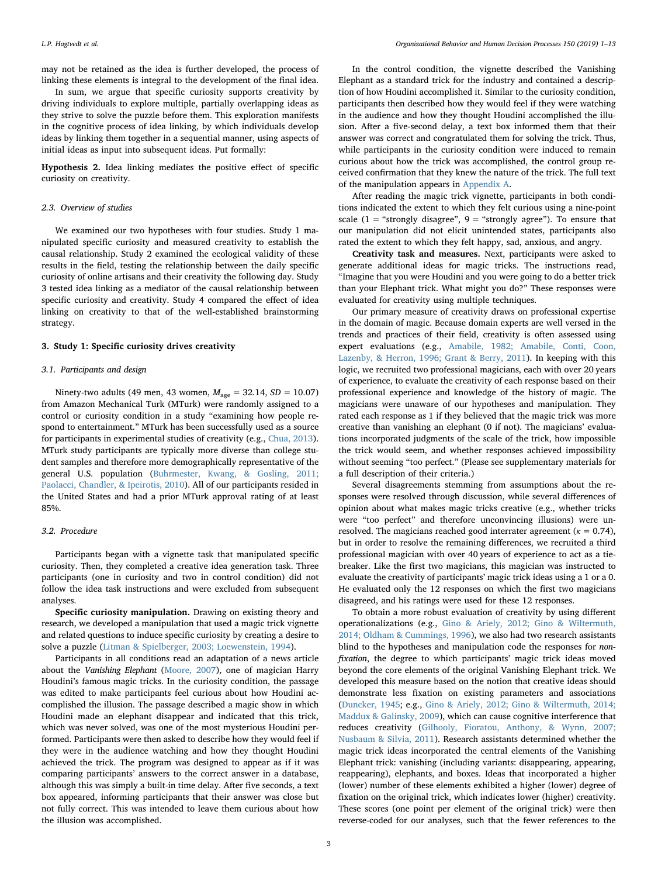may not be retained as the idea is further developed, the process of linking these elements is integral to the development of the final idea.

In sum, we argue that specific curiosity supports creativity by driving individuals to explore multiple, partially overlapping ideas as they strive to solve the puzzle before them. This exploration manifests in the cognitive process of idea linking, by which individuals develop ideas by linking them together in a sequential manner, using aspects of initial ideas as input into subsequent ideas. Put formally:

<span id="page-2-0"></span>Hypothesis 2. Idea linking mediates the positive effect of specific curiosity on creativity.

## 2.3. Overview of studies

We examined our two hypotheses with four studies. Study 1 manipulated specific curiosity and measured creativity to establish the causal relationship. Study 2 examined the ecological validity of these results in the field, testing the relationship between the daily specific curiosity of online artisans and their creativity the following day. Study 3 tested idea linking as a mediator of the causal relationship between specific curiosity and creativity. Study 4 compared the effect of idea linking on creativity to that of the well-established brainstorming strategy.

## <span id="page-2-1"></span>3. Study 1: Specific curiosity drives creativity

#### 3.1. Participants and design

Ninety-two adults (49 men, 43 women,  $M_{\text{age}} = 32.14$ ,  $SD = 10.07$ ) from Amazon Mechanical Turk (MTurk) were randomly assigned to a control or curiosity condition in a study "examining how people respond to entertainment." MTurk has been successfully used as a source for participants in experimental studies of creativity (e.g., [Chua, 2013](#page-11-16)). MTurk study participants are typically more diverse than college student samples and therefore more demographically representative of the general U.S. population ([Buhrmester, Kwang, & Gosling, 2011;](#page-11-17) [Paolacci, Chandler, & Ipeirotis, 2010](#page-11-17)). All of our participants resided in the United States and had a prior MTurk approval rating of at least 85%.

#### 3.2. Procedure

Participants began with a vignette task that manipulated specific curiosity. Then, they completed a creative idea generation task. Three participants (one in curiosity and two in control condition) did not follow the idea task instructions and were excluded from subsequent analyses.

Specific curiosity manipulation. Drawing on existing theory and research, we developed a manipulation that used a magic trick vignette and related questions to induce specific curiosity by creating a desire to solve a puzzle [\(Litman & Spielberger, 2003; Loewenstein, 1994](#page-11-18)).

Participants in all conditions read an adaptation of a news article about the Vanishing Elephant ([Moore, 2007\)](#page-11-19), one of magician Harry Houdini's famous magic tricks. In the curiosity condition, the passage was edited to make participants feel curious about how Houdini accomplished the illusion. The passage described a magic show in which Houdini made an elephant disappear and indicated that this trick, which was never solved, was one of the most mysterious Houdini performed. Participants were then asked to describe how they would feel if they were in the audience watching and how they thought Houdini achieved the trick. The program was designed to appear as if it was comparing participants' answers to the correct answer in a database, although this was simply a built-in time delay. After five seconds, a text box appeared, informing participants that their answer was close but not fully correct. This was intended to leave them curious about how the illusion was accomplished.

In the control condition, the vignette described the Vanishing Elephant as a standard trick for the industry and contained a description of how Houdini accomplished it. Similar to the curiosity condition, participants then described how they would feel if they were watching in the audience and how they thought Houdini accomplished the illusion. After a five-second delay, a text box informed them that their answer was correct and congratulated them for solving the trick. Thus, while participants in the curiosity condition were induced to remain curious about how the trick was accomplished, the control group received confirmation that they knew the nature of the trick. The full text of the manipulation appears in [Appendix A](#page-0-4).

After reading the magic trick vignette, participants in both conditions indicated the extent to which they felt curious using a nine-point scale  $(1 = "strongly disagree", 9 = "strongly agree").$  To ensure that our manipulation did not elicit unintended states, participants also rated the extent to which they felt happy, sad, anxious, and angry.

Creativity task and measures. Next, participants were asked to generate additional ideas for magic tricks. The instructions read, "Imagine that you were Houdini and you were going to do a better trick than your Elephant trick. What might you do?" These responses were evaluated for creativity using multiple techniques.

Our primary measure of creativity draws on professional expertise in the domain of magic. Because domain experts are well versed in the trends and practices of their field, creativity is often assessed using expert evaluations (e.g., [Amabile, 1982; Amabile, Conti, Coon,](#page-10-6) [Lazenby, & Herron, 1996; Grant & Berry, 2011\)](#page-10-6). In keeping with this logic, we recruited two professional magicians, each with over 20 years of experience, to evaluate the creativity of each response based on their professional experience and knowledge of the history of magic. The magicians were unaware of our hypotheses and manipulation. They rated each response as 1 if they believed that the magic trick was more creative than vanishing an elephant (0 if not). The magicians' evaluations incorporated judgments of the scale of the trick, how impossible the trick would seem, and whether responses achieved impossibility without seeming "too perfect." (Please see supplementary materials for a full description of their criteria.)

Several disagreements stemming from assumptions about the responses were resolved through discussion, while several differences of opinion about what makes magic tricks creative (e.g., whether tricks were "too perfect" and therefore unconvincing illusions) were unresolved. The magicians reached good interrater agreement ( $\kappa = 0.74$ ), but in order to resolve the remaining differences, we recruited a third professional magician with over 40 years of experience to act as a tiebreaker. Like the first two magicians, this magician was instructed to evaluate the creativity of participants' magic trick ideas using a 1 or a 0. He evaluated only the 12 responses on which the first two magicians disagreed, and his ratings were used for these 12 responses.

To obtain a more robust evaluation of creativity by using different operationalizations (e.g., [Gino & Ariely, 2012; Gino & Wiltermuth,](#page-11-20) [2014; Oldham & Cummings, 1996\)](#page-11-20), we also had two research assistants blind to the hypotheses and manipulation code the responses for nonfixation, the degree to which participants' magic trick ideas moved beyond the core elements of the original Vanishing Elephant trick. We developed this measure based on the notion that creative ideas should demonstrate less fixation on existing parameters and associations ([Duncker, 1945](#page-11-21); e.g., [Gino & Ariely, 2012; Gino & Wiltermuth, 2014;](#page-11-20) [Maddux & Galinsky, 2009\)](#page-11-20), which can cause cognitive interference that reduces creativity ([Gilhooly, Fioratou, Anthony, & Wynn, 2007;](#page-11-22) [Nusbaum & Silvia, 2011](#page-11-22)). Research assistants determined whether the magic trick ideas incorporated the central elements of the Vanishing Elephant trick: vanishing (including variants: disappearing, appearing, reappearing), elephants, and boxes. Ideas that incorporated a higher (lower) number of these elements exhibited a higher (lower) degree of fixation on the original trick, which indicates lower (higher) creativity. These scores (one point per element of the original trick) were then reverse-coded for our analyses, such that the fewer references to the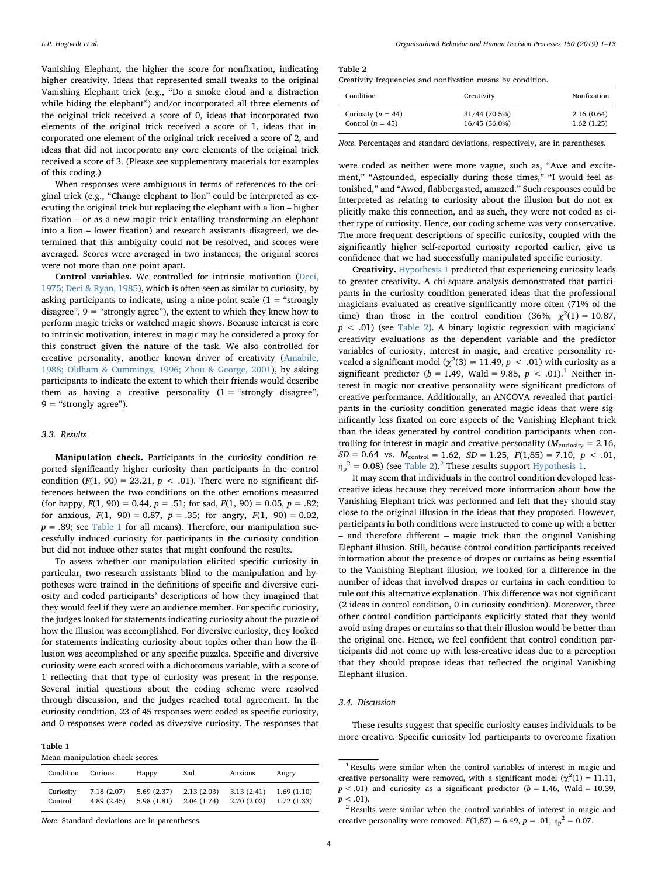Vanishing Elephant, the higher the score for nonfixation, indicating higher creativity. Ideas that represented small tweaks to the original Vanishing Elephant trick (e.g., "Do a smoke cloud and a distraction while hiding the elephant") and/or incorporated all three elements of the original trick received a score of 0, ideas that incorporated two elements of the original trick received a score of 1, ideas that incorporated one element of the original trick received a score of 2, and ideas that did not incorporate any core elements of the original trick received a score of 3. (Please see supplementary materials for examples of this coding.)

When responses were ambiguous in terms of references to the original trick (e.g., "Change elephant to lion" could be interpreted as executing the original trick but replacing the elephant with a lion – higher fixation – or as a new magic trick entailing transforming an elephant into a lion – lower fixation) and research assistants disagreed, we determined that this ambiguity could not be resolved, and scores were averaged. Scores were averaged in two instances; the original scores were not more than one point apart.

Control variables. We controlled for intrinsic motivation ([Deci,](#page-11-23) [1975; Deci & Ryan, 1985\)](#page-11-23), which is often seen as similar to curiosity, by asking participants to indicate, using a nine-point scale  $(1 -$  "strongly disagree",  $9 =$  "strongly agree"), the extent to which they knew how to perform magic tricks or watched magic shows. Because interest is core to intrinsic motivation, interest in magic may be considered a proxy for this construct given the nature of the task. We also controlled for creative personality, another known driver of creativity [\(Amabile,](#page-10-7) [1988; Oldham & Cummings, 1996; Zhou & George, 2001\)](#page-10-7), by asking participants to indicate the extent to which their friends would describe them as having a creative personality  $(1 = "strongly disagree",$  $9 =$  "strongly agree").

#### 3.3. Results

Manipulation check. Participants in the curiosity condition reported significantly higher curiosity than participants in the control condition ( $F(1, 90) = 23.21$ ,  $p < .01$ ). There were no significant differences between the two conditions on the other emotions measured (for happy,  $F(1, 90) = 0.44$ ,  $p = .51$ ; for sad,  $F(1, 90) = 0.05$ ,  $p = .82$ ; for anxious,  $F(1, 90) = 0.87$ ,  $p = .35$ ; for angry,  $F(1, 90) = 0.02$ ,  $p = .89$ ; see [Table](#page-3-0) 1 for all means). Therefore, our manipulation successfully induced curiosity for participants in the curiosity condition but did not induce other states that might confound the results.

To assess whether our manipulation elicited specific curiosity in particular, two research assistants blind to the manipulation and hypotheses were trained in the definitions of specific and diversive curiosity and coded participants' descriptions of how they imagined that they would feel if they were an audience member. For specific curiosity, the judges looked for statements indicating curiosity about the puzzle of how the illusion was accomplished. For diversive curiosity, they looked for statements indicating curiosity about topics other than how the illusion was accomplished or any specific puzzles. Specific and diversive curiosity were each scored with a dichotomous variable, with a score of 1 reflecting that that type of curiosity was present in the response. Several initial questions about the coding scheme were resolved through discussion, and the judges reached total agreement. In the curiosity condition, 23 of 45 responses were coded as specific curiosity, and 0 responses were coded as diversive curiosity. The responses that

#### <span id="page-3-0"></span>Table 1

Mean manipulation check scores.

| Condition | Curious    | Happy      | Sad        | Anxious    | Angry       |
|-----------|------------|------------|------------|------------|-------------|
| Curiosity | 7.18(2.07) | 5.69(2.37) | 2.13(2.03) | 3.13(2.41) | 1.69(1.10)  |
| Control   | 4.89(2.45) | 5.98(1.81) | 2.04(1.74) | 2.70(2.02) | 1.72 (1.33) |

Note. Standard deviations are in parentheses.

# <span id="page-3-1"></span>Table 2

| Creativity frequencies and nonfixation means by condition. |  |  |
|------------------------------------------------------------|--|--|
|------------------------------------------------------------|--|--|

| Condition              | Creativity    | Nonfixation |
|------------------------|---------------|-------------|
| Curiosity ( $n = 44$ ) | 31/44(70.5%)  | 2.16(0.64)  |
| Control $(n = 45)$     | 16/45 (36.0%) | 1.62(1.25)  |

Note. Percentages and standard deviations, respectively, are in parentheses.

were coded as neither were more vague, such as, "Awe and excitement," "Astounded, especially during those times," "I would feel astonished," and "Awed, flabbergasted, amazed." Such responses could be interpreted as relating to curiosity about the illusion but do not explicitly make this connection, and as such, they were not coded as either type of curiosity. Hence, our coding scheme was very conservative. The more frequent descriptions of specific curiosity, coupled with the significantly higher self-reported curiosity reported earlier, give us confidence that we had successfully manipulated specific curiosity.

Creativity. [Hypothesis 1](#page-1-0) predicted that experiencing curiosity leads to greater creativity. A chi-square analysis demonstrated that participants in the curiosity condition generated ideas that the professional magicians evaluated as creative significantly more often (71% of the time) than those in the control condition (36%;  $\chi^2(1) = 10.87$ ,  $p < .01$ ) (see [Table 2](#page-3-1)). A binary logistic regression with magicians' creativity evaluations as the dependent variable and the predictor variables of curiosity, interest in magic, and creative personality revealed a significant model ( $\chi^2(3) = 11.49$ ,  $p < .01$ ) with curiosity as a significant predictor ( $b = 1.49$ , Wald = 9.85,  $p < .01$ ).<sup>1</sup> Neither interest in magic nor creative personality were significant predictors of creative performance. Additionally, an ANCOVA revealed that participants in the curiosity condition generated magic ideas that were significantly less fixated on core aspects of the Vanishing Elephant trick than the ideas generated by control condition participants when controlling for interest in magic and creative personality ( $M_{\text{curiosity}} = 2.16$ ,  $SD = 0.64$  vs.  $M_{control} = 1.62$ ,  $SD = 1.25$ ,  $F(1,85) = 7.10$ ,  $p < .01$ ,  $\eta_p^2$  $\eta_p^2$  = 0.08) (see [Table 2](#page-3-1)).<sup>2</sup> These results support [Hypothesis 1](#page-1-0).

It may seem that individuals in the control condition developed lesscreative ideas because they received more information about how the Vanishing Elephant trick was performed and felt that they should stay close to the original illusion in the ideas that they proposed. However, participants in both conditions were instructed to come up with a better – and therefore different – magic trick than the original Vanishing Elephant illusion. Still, because control condition participants received information about the presence of drapes or curtains as being essential to the Vanishing Elephant illusion, we looked for a difference in the number of ideas that involved drapes or curtains in each condition to rule out this alternative explanation. This difference was not significant (2 ideas in control condition, 0 in curiosity condition). Moreover, three other control condition participants explicitly stated that they would avoid using drapes or curtains so that their illusion would be better than the original one. Hence, we feel confident that control condition participants did not come up with less-creative ideas due to a perception that they should propose ideas that reflected the original Vanishing Elephant illusion.

# 3.4. Discussion

These results suggest that specific curiosity causes individuals to be more creative. Specific curiosity led participants to overcome fixation

<span id="page-3-2"></span><sup>&</sup>lt;sup>1</sup> Results were similar when the control variables of interest in magic and creative personality were removed, with a significant model  $(\chi^2(1) = 11.11)$ ,  $p < .01$ ) and curiosity as a significant predictor ( $b = 1.46$ , Wald = 10.39,  $p<.01$  ).

<span id="page-3-3"></span><sup>&</sup>lt;sup>2</sup> Results were similar when the control variables of interest in magic and creative personality were removed:  $F(1,87) = 6.49$ ,  $p = .01$ ,  $\eta_p^2 = 0.07$ .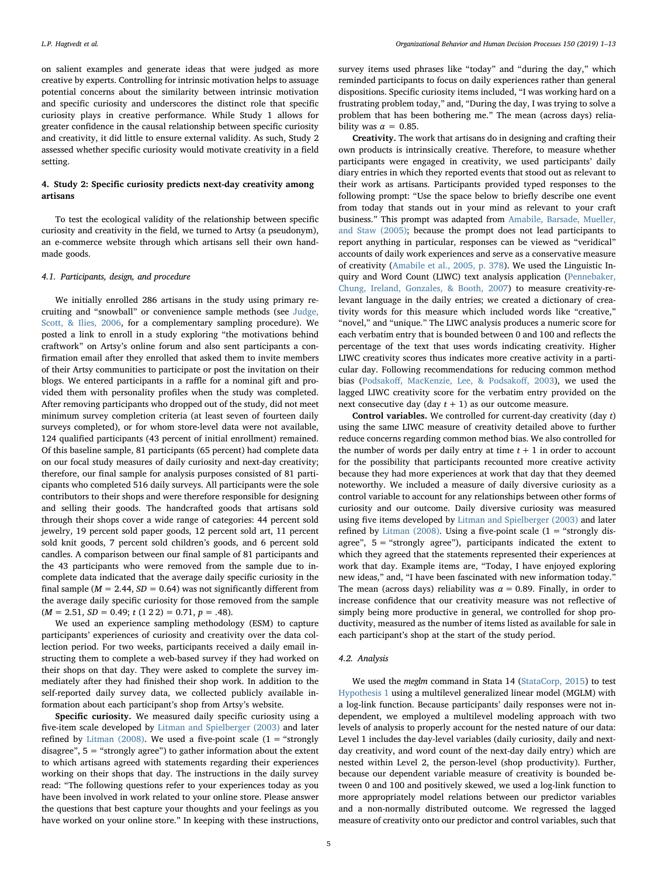on salient examples and generate ideas that were judged as more creative by experts. Controlling for intrinsic motivation helps to assuage potential concerns about the similarity between intrinsic motivation and specific curiosity and underscores the distinct role that specific curiosity plays in creative performance. While Study 1 allows for greater confidence in the causal relationship between specific curiosity and creativity, it did little to ensure external validity. As such, Study 2 assessed whether specific curiosity would motivate creativity in a field setting.

# 4. Study 2: Specific curiosity predicts next-day creativity among artisans

To test the ecological validity of the relationship between specific curiosity and creativity in the field, we turned to Artsy (a pseudonym), an e-commerce website through which artisans sell their own handmade goods.

#### 4.1. Participants, design, and procedure

We initially enrolled 286 artisans in the study using primary recruiting and "snowball" or convenience sample methods (see [Judge,](#page-11-24) [Scott, & Ilies, 2006,](#page-11-24) for a complementary sampling procedure). We posted a link to enroll in a study exploring "the motivations behind craftwork" on Artsy's online forum and also sent participants a confirmation email after they enrolled that asked them to invite members of their Artsy communities to participate or post the invitation on their blogs. We entered participants in a raffle for a nominal gift and provided them with personality profiles when the study was completed. After removing participants who dropped out of the study, did not meet minimum survey completion criteria (at least seven of fourteen daily surveys completed), or for whom store-level data were not available, 124 qualified participants (43 percent of initial enrollment) remained. Of this baseline sample, 81 participants (65 percent) had complete data on our focal study measures of daily curiosity and next-day creativity; therefore, our final sample for analysis purposes consisted of 81 participants who completed 516 daily surveys. All participants were the sole contributors to their shops and were therefore responsible for designing and selling their goods. The handcrafted goods that artisans sold through their shops cover a wide range of categories: 44 percent sold jewelry, 19 percent sold paper goods, 12 percent sold art, 11 percent sold knit goods, 7 percent sold children's goods, and 6 percent sold candles. A comparison between our final sample of 81 participants and the 43 participants who were removed from the sample due to incomplete data indicated that the average daily specific curiosity in the final sample ( $M = 2.44$ ,  $SD = 0.64$ ) was not significantly different from the average daily specific curiosity for those removed from the sample  $(M = 2.51, SD = 0.49; t (1 2 2) = 0.71, p = .48).$ 

We used an experience sampling methodology (ESM) to capture participants' experiences of curiosity and creativity over the data collection period. For two weeks, participants received a daily email instructing them to complete a web-based survey if they had worked on their shops on that day. They were asked to complete the survey immediately after they had finished their shop work. In addition to the self-reported daily survey data, we collected publicly available information about each participant's shop from Artsy's website.

Specific curiosity. We measured daily specific curiosity using a five-item scale developed by [Litman and Spielberger \(2003\)](#page-11-18) and later refined by [Litman \(2008\).](#page-11-25) We used a five-point scale ( $1 =$  "strongly disagree",  $5 =$  "strongly agree") to gather information about the extent to which artisans agreed with statements regarding their experiences working on their shops that day. The instructions in the daily survey read: "The following questions refer to your experiences today as you have been involved in work related to your online store. Please answer the questions that best capture your thoughts and your feelings as you have worked on your online store." In keeping with these instructions,

survey items used phrases like "today" and "during the day," which reminded participants to focus on daily experiences rather than general dispositions. Specific curiosity items included, "I was working hard on a frustrating problem today," and, "During the day, I was trying to solve a problem that has been bothering me." The mean (across days) reliability was  $\alpha = 0.85$ .

Creativity. The work that artisans do in designing and crafting their own products is intrinsically creative. Therefore, to measure whether participants were engaged in creativity, we used participants' daily diary entries in which they reported events that stood out as relevant to their work as artisans. Participants provided typed responses to the following prompt: "Use the space below to briefly describe one event from today that stands out in your mind as relevant to your craft business." This prompt was adapted from [Amabile, Barsade, Mueller,](#page-10-8) and [Staw \(2005\);](#page-10-8) because the prompt does not lead participants to report anything in particular, responses can be viewed as "veridical" accounts of daily work experiences and serve as a conservative measure of creativity [\(Amabile et al., 2005, p. 378](#page-10-8)). We used the Linguistic Inquiry and Word Count (LIWC) text analysis application [\(Pennebaker,](#page-11-26) [Chung, Ireland, Gonzales, & Booth, 2007](#page-11-26)) to measure creativity-relevant language in the daily entries; we created a dictionary of creativity words for this measure which included words like "creative," "novel," and "unique." The LIWC analysis produces a numeric score for each verbatim entry that is bounded between 0 and 100 and reflects the percentage of the text that uses words indicating creativity. Higher LIWC creativity scores thus indicates more creative activity in a particular day. Following recommendations for reducing common method bias (Podsakoff[, MacKenzie, Lee, & Podsako](#page-11-27)ff, 2003), we used the lagged LIWC creativity score for the verbatim entry provided on the next consecutive day (day  $t + 1$ ) as our outcome measure.

**Control variables.** We controlled for current-day creativity (day  $t$ ) using the same LIWC measure of creativity detailed above to further reduce concerns regarding common method bias. We also controlled for the number of words per daily entry at time  $t + 1$  in order to account for the possibility that participants recounted more creative activity because they had more experiences at work that day that they deemed noteworthy. We included a measure of daily diversive curiosity as a control variable to account for any relationships between other forms of curiosity and our outcome. Daily diversive curiosity was measured using five items developed by [Litman and Spielberger \(2003\)](#page-11-18) and later refined by [Litman \(2008\)](#page-11-25). Using a five-point scale ( $1 =$  "strongly disagree",  $5 =$  "strongly agree"), participants indicated the extent to which they agreed that the statements represented their experiences at work that day. Example items are, "Today, I have enjoyed exploring new ideas," and, "I have been fascinated with new information today." The mean (across days) reliability was  $\alpha = 0.89$ . Finally, in order to increase confidence that our creativity measure was not reflective of simply being more productive in general, we controlled for shop productivity, measured as the number of items listed as available for sale in each participant's shop at the start of the study period.

# 4.2. Analysis

We used the meglm command in Stata 14 [\(StataCorp, 2015\)](#page-11-28) to test [Hypothesis 1](#page-1-0) using a multilevel generalized linear model (MGLM) with a log-link function. Because participants' daily responses were not independent, we employed a multilevel modeling approach with two levels of analysis to properly account for the nested nature of our data: Level 1 includes the day-level variables (daily curiosity, daily and nextday creativity, and word count of the next-day daily entry) which are nested within Level 2, the person-level (shop productivity). Further, because our dependent variable measure of creativity is bounded between 0 and 100 and positively skewed, we used a log-link function to more appropriately model relations between our predictor variables and a non-normally distributed outcome. We regressed the lagged measure of creativity onto our predictor and control variables, such that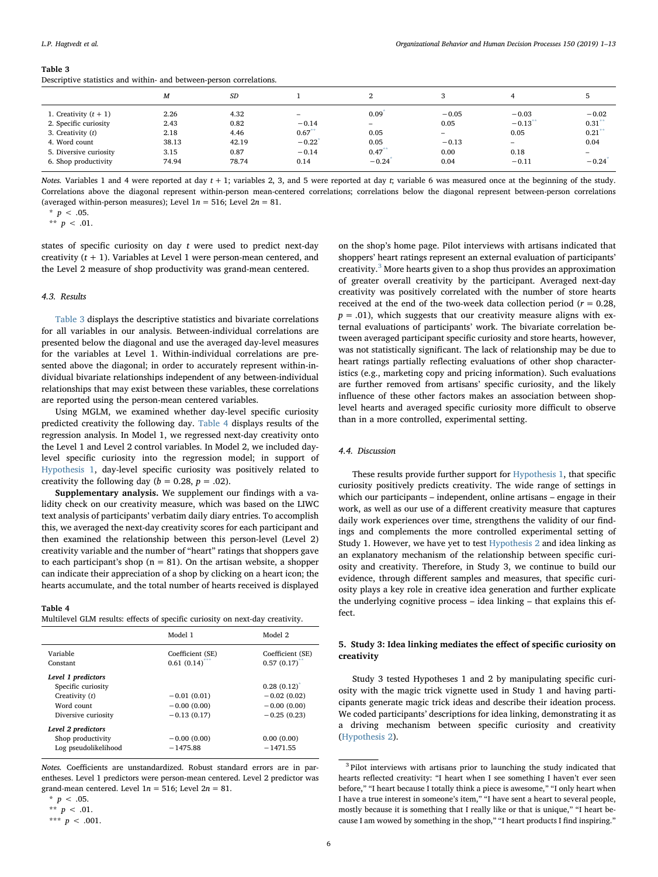#### <span id="page-5-0"></span>Table 3

Descriptive statistics and within- and between-person correlations.

|                         | М     | <b>SD</b> |                          |           |                          |                          |           |
|-------------------------|-------|-----------|--------------------------|-----------|--------------------------|--------------------------|-----------|
| 1. Creativity $(t + 1)$ | 2.26  | 4.32      | $\overline{\phantom{a}}$ | 0.09      | $-0.05$                  | $-0.03$                  | $-0.02$   |
| 2. Specific curiosity   | 2.43  | 0.82      | $-0.14$                  | $\equiv$  | 0.05                     | $-0.13$ **               | $0.31***$ |
| 3. Creativity (t)       | 2.18  | 4.46      | $0.67$ **                | 0.05      | $\overline{\phantom{a}}$ | 0.05                     | $0.21***$ |
| 4. Word count           | 38.13 | 42.19     | $-0.22$                  | 0.05      | $-0.13$                  | $\overline{\phantom{0}}$ | 0.04      |
| 5. Diversive curiosity  | 3.15  | 0.87      | $-0.14$                  | $0.47***$ | 0.00                     | 0.18                     | -         |
| 6. Shop productivity    | 74.94 | 78.74     | 0.14                     | $-0.24$   | 0.04                     | $-0.11$                  | $-0.24$   |

Notes. Variables 1 and 4 were reported at day  $t + 1$ ; variables 2, 3, and 5 were reported at day  $t$ ; variable 6 was measured once at the beginning of the study. Correlations above the diagonal represent within-person mean-centered correlations; correlations below the diagonal represent between-person correlations (averaged within-person measures); Level  $1n = 516$ ; Level  $2n = 81$ .

<span id="page-5-3"></span>\*  $p < .05$ .

<span id="page-5-4"></span>\*\*  $p < .01$ .

states of specific curiosity on day  $t$  were used to predict next-day creativity  $(t + 1)$ . Variables at Level 1 were person-mean centered, and the Level 2 measure of shop productivity was grand-mean centered.

## 4.3. Results

[Table 3](#page-5-0) displays the descriptive statistics and bivariate correlations for all variables in our analysis. Between-individual correlations are presented below the diagonal and use the averaged day-level measures for the variables at Level 1. Within-individual correlations are presented above the diagonal; in order to accurately represent within-individual bivariate relationships independent of any between-individual relationships that may exist between these variables, these correlations are reported using the person-mean centered variables.

Using MGLM, we examined whether day-level specific curiosity predicted creativity the following day. [Table 4](#page-5-1) displays results of the regression analysis. In Model 1, we regressed next-day creativity onto the Level 1 and Level 2 control variables. In Model 2, we included daylevel specific curiosity into the regression model; in support of [Hypothesis 1,](#page-1-0) day-level specific curiosity was positively related to creativity the following day ( $b = 0.28$ ,  $p = .02$ ).

Supplementary analysis. We supplement our findings with a validity check on our creativity measure, which was based on the LIWC text analysis of participants' verbatim daily diary entries. To accomplish this, we averaged the next-day creativity scores for each participant and then examined the relationship between this person-level (Level 2) creativity variable and the number of "heart" ratings that shoppers gave to each participant's shop ( $n = 81$ ). On the artisan website, a shopper can indicate their appreciation of a shop by clicking on a heart icon; the hearts accumulate, and the total number of hearts received is displayed

#### <span id="page-5-1"></span>Table 4

Multilevel GLM results: effects of specific curiosity on next-day creativity.

|                      | Model 1          | Model 2          |
|----------------------|------------------|------------------|
| Variable             | Coefficient (SE) | Coefficient (SE) |
| Constant             | $0.61(0.14)$ *** | $0.57(0.17)$ **  |
| Level 1 predictors   |                  |                  |
| Specific curiosity   |                  | 0.28(0.12)       |
| Creativity (t)       | $-0.01(0.01)$    | $-0.02(0.02)$    |
| Word count           | $-0.00(0.00)$    | $-0.00(0.00)$    |
| Diversive curiosity  | $-0.13(0.17)$    | $-0.25(0.23)$    |
| Level 2 predictors   |                  |                  |
| Shop productivity    | $-0.00(0.00)$    | 0.00(0.00)       |
| Log pseudolikelihood | $-1475.88$       | $-1471.55$       |

Notes. Coefficients are unstandardized. Robust standard errors are in parentheses. Level 1 predictors were person-mean centered. Level 2 predictor was grand-mean centered. Level  $1n = 516$ ; Level  $2n = 81$ .

<span id="page-5-7"></span>\*  $p$  < .05.

<span id="page-5-6"></span>\*\*  $p < .01$ .

<span id="page-5-5"></span>\*\*\*  $p$  < .001.

on the shop's home page. Pilot interviews with artisans indicated that shoppers' heart ratings represent an external evaluation of participants' creativity. $3$  More hearts given to a shop thus provides an approximation of greater overall creativity by the participant. Averaged next-day creativity was positively correlated with the number of store hearts received at the end of the two-week data collection period ( $r = 0.28$ ,  $p = .01$ ), which suggests that our creativity measure aligns with external evaluations of participants' work. The bivariate correlation between averaged participant specific curiosity and store hearts, however, was not statistically significant. The lack of relationship may be due to heart ratings partially reflecting evaluations of other shop characteristics (e.g., marketing copy and pricing information). Such evaluations are further removed from artisans' specific curiosity, and the likely influence of these other factors makes an association between shoplevel hearts and averaged specific curiosity more difficult to observe than in a more controlled, experimental setting.

## 4.4. Discussion

These results provide further support for [Hypothesis 1](#page-1-0), that specific curiosity positively predicts creativity. The wide range of settings in which our participants – independent, online artisans – engage in their work, as well as our use of a different creativity measure that captures daily work experiences over time, strengthens the validity of our findings and complements the more controlled experimental setting of Study 1. However, we have yet to test [Hypothesis 2](#page-2-0) and idea linking as an explanatory mechanism of the relationship between specific curiosity and creativity. Therefore, in Study 3, we continue to build our evidence, through different samples and measures, that specific curiosity plays a key role in creative idea generation and further explicate the underlying cognitive process – idea linking – that explains this effect.

# 5. Study 3: Idea linking mediates the effect of specific curiosity on creativity

Study 3 tested Hypotheses 1 and 2 by manipulating specific curiosity with the magic trick vignette used in Study 1 and having participants generate magic trick ideas and describe their ideation process. We coded participants' descriptions for idea linking, demonstrating it as a driving mechanism between specific curiosity and creativity ([Hypothesis 2\)](#page-2-0).

<span id="page-5-2"></span><sup>&</sup>lt;sup>3</sup> Pilot interviews with artisans prior to launching the study indicated that hearts reflected creativity: "I heart when I see something I haven't ever seen before," "I heart because I totally think a piece is awesome," "I only heart when I have a true interest in someone's item," "I have sent a heart to several people, mostly because it is something that I really like or that is unique," "I heart because I am wowed by something in the shop," "I heart products I find inspiring."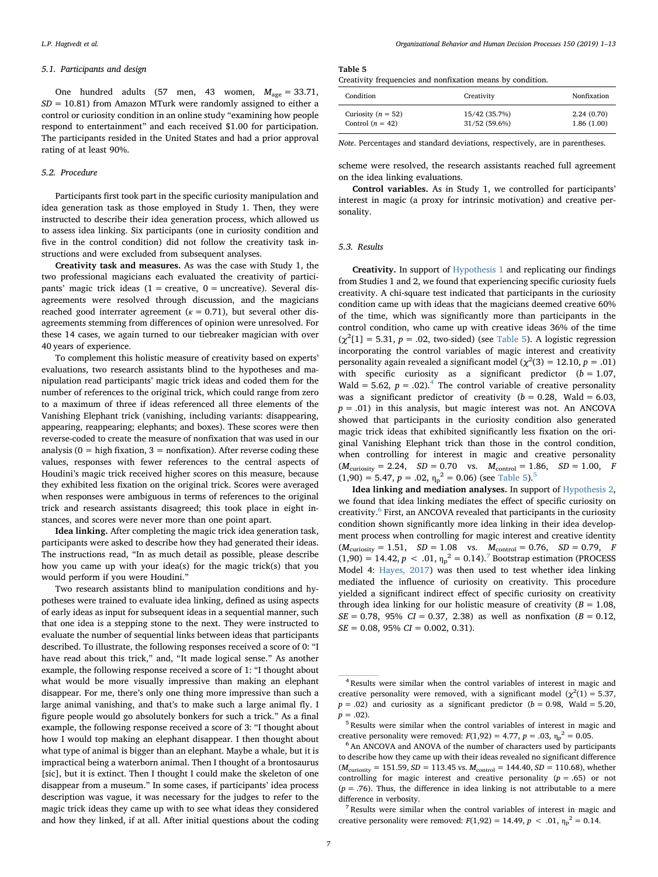#### 5.1. Participants and design

One hundred adults (57 men, 43 women,  $M_{\text{age}} = 33.71$ ,  $SD = 10.81$ ) from Amazon MTurk were randomly assigned to either a control or curiosity condition in an online study "examining how people respond to entertainment" and each received \$1.00 for participation. The participants resided in the United States and had a prior approval rating of at least 90%.

## 5.2. Procedure

Participants first took part in the specific curiosity manipulation and idea generation task as those employed in Study 1. Then, they were instructed to describe their idea generation process, which allowed us to assess idea linking. Six participants (one in curiosity condition and five in the control condition) did not follow the creativity task instructions and were excluded from subsequent analyses.

Creativity task and measures. As was the case with Study 1, the two professional magicians each evaluated the creativity of participants' magic trick ideas (1 = creative, 0 = uncreative). Several disagreements were resolved through discussion, and the magicians reached good interrater agreement ( $\kappa = 0.71$ ), but several other disagreements stemming from differences of opinion were unresolved. For these 14 cases, we again turned to our tiebreaker magician with over 40 years of experience.

To complement this holistic measure of creativity based on experts' evaluations, two research assistants blind to the hypotheses and manipulation read participants' magic trick ideas and coded them for the number of references to the original trick, which could range from zero to a maximum of three if ideas referenced all three elements of the Vanishing Elephant trick (vanishing, including variants: disappearing, appearing, reappearing; elephants; and boxes). These scores were then reverse-coded to create the measure of nonfixation that was used in our analysis ( $0 =$  high fixation,  $3 =$  nonfixation). After reverse coding these values, responses with fewer references to the central aspects of Houdini's magic trick received higher scores on this measure, because they exhibited less fixation on the original trick. Scores were averaged when responses were ambiguous in terms of references to the original trick and research assistants disagreed; this took place in eight instances, and scores were never more than one point apart.

Idea linking. After completing the magic trick idea generation task, participants were asked to describe how they had generated their ideas. The instructions read, "In as much detail as possible, please describe how you came up with your idea(s) for the magic trick(s) that you would perform if you were Houdini."

Two research assistants blind to manipulation conditions and hypotheses were trained to evaluate idea linking, defined as using aspects of early ideas as input for subsequent ideas in a sequential manner, such that one idea is a stepping stone to the next. They were instructed to evaluate the number of sequential links between ideas that participants described. To illustrate, the following responses received a score of 0: "I have read about this trick," and, "It made logical sense." As another example, the following response received a score of 1: "I thought about what would be more visually impressive than making an elephant disappear. For me, there's only one thing more impressive than such a large animal vanishing, and that's to make such a large animal fly. I figure people would go absolutely bonkers for such a trick." As a final example, the following response received a score of 3: "I thought about how I would top making an elephant disappear. I then thought about what type of animal is bigger than an elephant. Maybe a whale, but it is impractical being a waterborn animal. Then I thought of a brontosaurus [sic], but it is extinct. Then I thought I could make the skeleton of one disappear from a museum." In some cases, if participants' idea process description was vague, it was necessary for the judges to refer to the magic trick ideas they came up with to see what ideas they considered and how they linked, if at all. After initial questions about the coding

# <span id="page-6-0"></span>Table 5

|  | Creativity frequencies and nonfixation means by condition. |  |  |  |  |  |
|--|------------------------------------------------------------|--|--|--|--|--|
|--|------------------------------------------------------------|--|--|--|--|--|

| Condition              | Creativity    | Nonfixation |
|------------------------|---------------|-------------|
| Curiosity ( $n = 52$ ) | 15/42 (35.7%) | 2.24(0.70)  |
| Control $(n = 42)$     | 31/52(59.6%)  | 1.86(1.00)  |

Note. Percentages and standard deviations, respectively, are in parentheses.

scheme were resolved, the research assistants reached full agreement on the idea linking evaluations.

Control variables. As in Study 1, we controlled for participants' interest in magic (a proxy for intrinsic motivation) and creative personality.

## 5.3. Results

Creativity. In support of [Hypothesis 1](#page-1-0) and replicating our findings from Studies 1 and 2, we found that experiencing specific curiosity fuels creativity. A chi-square test indicated that participants in the curiosity condition came up with ideas that the magicians deemed creative 60% of the time, which was significantly more than participants in the control condition, who came up with creative ideas 36% of the time  $(\chi^2[1] = 5.31, p = .02,$  two-sided) (see [Table 5\)](#page-6-0). A logistic regression incorporating the control variables of magic interest and creativity personality again revealed a significant model ( $\chi^2(3) = 12.10, p = .01$ ) with specific curiosity as a significant predictor  $(b = 1.07,$ Wald = 5.62,  $p = .02$ ).<sup>[4](#page-6-1)</sup> The control variable of creative personality was a significant predictor of creativity  $(b = 0.28, \text{ Wald} = 6.03,$  $p = .01$ ) in this analysis, but magic interest was not. An ANCOVA showed that participants in the curiosity condition also generated magic trick ideas that exhibited significantly less fixation on the original Vanishing Elephant trick than those in the control condition, when controlling for interest in magic and creative personality  $(M_{\text{curiosity}} = 2.24, \quad SD = 0.70 \quad \text{vs.} \quad M_{\text{control}} = 1.86, \quad SD = 1.00, \quad F$  $(1,90) = 5.47$  $(1,90) = 5.47$  $(1,90) = 5.47$ ,  $p = .02$ ,  $\eta_p^2 = 0.06$ ) (see [Table 5\)](#page-6-0).<sup>5</sup>

Idea linking and mediation analyses. In support of [Hypothesis 2](#page-2-0), we found that idea linking mediates the effect of specific curiosity on creativity.<sup>[6](#page-6-3)</sup> First, an ANCOVA revealed that participants in the curiosity condition shown significantly more idea linking in their idea development process when controlling for magic interest and creative identity  $(M_{\text{curiosity}} = 1.51, \quad SD = 1.08 \quad \text{vs.} \quad M_{\text{control}} = 0.76, \quad SD = 0.79, \quad F$  $(1,90) = 14.42, p < .01, \eta_p^2 = 0.14$ .<sup>[7](#page-6-4)</sup> Bootstrap estimation (PROCESS Model 4: [Hayes, 2017\)](#page-11-29) was then used to test whether idea linking mediated the influence of curiosity on creativity. This procedure yielded a significant indirect effect of specific curiosity on creativity through idea linking for our holistic measure of creativity  $(B = 1.08,$  $SE = 0.78$ , 95%  $CI = 0.37$ , 2.38) as well as nonfixation ( $B = 0.12$ ,  $SE = 0.08$ , 95%  $CI = 0.002$ , 0.31).

<span id="page-6-4"></span> $<sup>7</sup>$  Results were similar when the control variables of interest in magic and</sup> creative personality were removed:  $F(1,92) = 14.49, p < .01, \eta_p^2 = 0.14$ .

<span id="page-6-1"></span><sup>4</sup> Results were similar when the control variables of interest in magic and creative personality were removed, with a significant model  $(\chi^2(1) = 5.37)$ ,  $p = .02$ ) and curiosity as a significant predictor ( $b = 0.98$ , Wald = 5.20,  $p = .02$ ).

<span id="page-6-2"></span><sup>5</sup> Results were similar when the control variables of interest in magic and creative personality were removed:  $F(1,92) = 4.77$ ,  $p = .03$ ,  $\eta_p^2 = 0.05$ .

<span id="page-6-3"></span><sup>&</sup>lt;sup>6</sup> An ANCOVA and ANOVA of the number of characters used by participants to describe how they came up with their ideas revealed no significant difference  $(M_{\text{curiosity}} = 151.59, SD = 113.45 \text{ vs. } M_{\text{control}} = 144.40, SD = 110.68)$ , whether controlling for magic interest and creative personality  $(p = .65)$  or not  $(p = .76)$ . Thus, the difference in idea linking is not attributable to a mere difference in verbosity.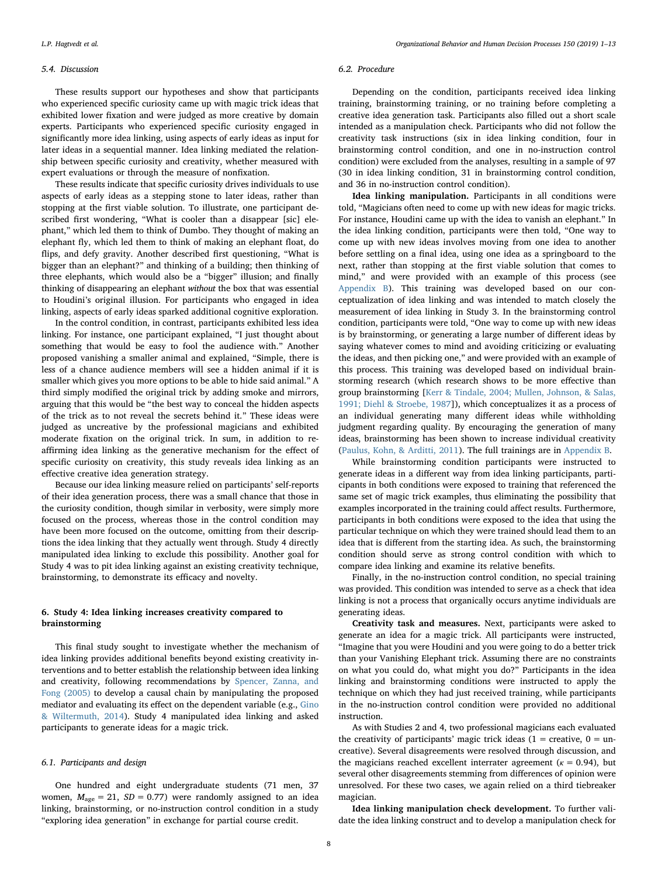## 5.4. Discussion

These results support our hypotheses and show that participants who experienced specific curiosity came up with magic trick ideas that exhibited lower fixation and were judged as more creative by domain experts. Participants who experienced specific curiosity engaged in significantly more idea linking, using aspects of early ideas as input for later ideas in a sequential manner. Idea linking mediated the relationship between specific curiosity and creativity, whether measured with expert evaluations or through the measure of nonfixation.

These results indicate that specific curiosity drives individuals to use aspects of early ideas as a stepping stone to later ideas, rather than stopping at the first viable solution. To illustrate, one participant described first wondering, "What is cooler than a disappear [sic] elephant," which led them to think of Dumbo. They thought of making an elephant fly, which led them to think of making an elephant float, do flips, and defy gravity. Another described first questioning, "What is bigger than an elephant?" and thinking of a building; then thinking of three elephants, which would also be a "bigger" illusion; and finally thinking of disappearing an elephant without the box that was essential to Houdini's original illusion. For participants who engaged in idea linking, aspects of early ideas sparked additional cognitive exploration.

In the control condition, in contrast, participants exhibited less idea linking. For instance, one participant explained, "I just thought about something that would be easy to fool the audience with." Another proposed vanishing a smaller animal and explained, "Simple, there is less of a chance audience members will see a hidden animal if it is smaller which gives you more options to be able to hide said animal." A third simply modified the original trick by adding smoke and mirrors, arguing that this would be "the best way to conceal the hidden aspects of the trick as to not reveal the secrets behind it." These ideas were judged as uncreative by the professional magicians and exhibited moderate fixation on the original trick. In sum, in addition to reaffirming idea linking as the generative mechanism for the effect of specific curiosity on creativity, this study reveals idea linking as an effective creative idea generation strategy.

Because our idea linking measure relied on participants' self-reports of their idea generation process, there was a small chance that those in the curiosity condition, though similar in verbosity, were simply more focused on the process, whereas those in the control condition may have been more focused on the outcome, omitting from their descriptions the idea linking that they actually went through. Study 4 directly manipulated idea linking to exclude this possibility. Another goal for Study 4 was to pit idea linking against an existing creativity technique, brainstorming, to demonstrate its efficacy and novelty.

# 6. Study 4: Idea linking increases creativity compared to brainstorming

This final study sought to investigate whether the mechanism of idea linking provides additional benefits beyond existing creativity interventions and to better establish the relationship between idea linking and creativity, following recommendations by [Spencer, Zanna, and](#page-11-30) [Fong \(2005\)](#page-11-30) to develop a causal chain by manipulating the proposed mediator and evaluating its effect on the dependent variable (e.g., [Gino](#page-11-31) [& Wiltermuth, 2014](#page-11-31)). Study 4 manipulated idea linking and asked participants to generate ideas for a magic trick.

#### 6.1. Participants and design

One hundred and eight undergraduate students (71 men, 37 women,  $M_{\text{age}} = 21$ ,  $SD = 0.77$ ) were randomly assigned to an idea linking, brainstorming, or no-instruction control condition in a study "exploring idea generation" in exchange for partial course credit.

## 6.2. Procedure

Depending on the condition, participants received idea linking training, brainstorming training, or no training before completing a creative idea generation task. Participants also filled out a short scale intended as a manipulation check. Participants who did not follow the creativity task instructions (six in idea linking condition, four in brainstorming control condition, and one in no-instruction control condition) were excluded from the analyses, resulting in a sample of 97 (30 in idea linking condition, 31 in brainstorming control condition, and 36 in no-instruction control condition).

Idea linking manipulation. Participants in all conditions were told, "Magicians often need to come up with new ideas for magic tricks. For instance, Houdini came up with the idea to vanish an elephant." In the idea linking condition, participants were then told, "One way to come up with new ideas involves moving from one idea to another before settling on a final idea, using one idea as a springboard to the next, rather than stopping at the first viable solution that comes to mind," and were provided with an example of this process (see [Appendix B\)](#page-1-1). This training was developed based on our conceptualization of idea linking and was intended to match closely the measurement of idea linking in Study 3. In the brainstorming control condition, participants were told, "One way to come up with new ideas is by brainstorming, or generating a large number of different ideas by saying whatever comes to mind and avoiding criticizing or evaluating the ideas, and then picking one," and were provided with an example of this process. This training was developed based on individual brainstorming research (which research shows to be more effective than group brainstorming [[Kerr & Tindale, 2004; Mullen, Johnson, & Salas,](#page-11-32) [1991; Diehl & Stroebe, 1987](#page-11-32)]), which conceptualizes it as a process of an individual generating many different ideas while withholding judgment regarding quality. By encouraging the generation of many ideas, brainstorming has been shown to increase individual creativity ([Paulus, Kohn, & Arditti, 2011](#page-11-33)). The full trainings are in [Appendix B](#page-1-1).

While brainstorming condition participants were instructed to generate ideas in a different way from idea linking participants, participants in both conditions were exposed to training that referenced the same set of magic trick examples, thus eliminating the possibility that examples incorporated in the training could affect results. Furthermore, participants in both conditions were exposed to the idea that using the particular technique on which they were trained should lead them to an idea that is different from the starting idea. As such, the brainstorming condition should serve as strong control condition with which to compare idea linking and examine its relative benefits.

Finally, in the no-instruction control condition, no special training was provided. This condition was intended to serve as a check that idea linking is not a process that organically occurs anytime individuals are generating ideas.

Creativity task and measures. Next, participants were asked to generate an idea for a magic trick. All participants were instructed, "Imagine that you were Houdini and you were going to do a better trick than your Vanishing Elephant trick. Assuming there are no constraints on what you could do, what might you do?" Participants in the idea linking and brainstorming conditions were instructed to apply the technique on which they had just received training, while participants in the no-instruction control condition were provided no additional instruction.

As with Studies 2 and 4, two professional magicians each evaluated the creativity of participants' magic trick ideas ( $1$  = creative,  $0$  = uncreative). Several disagreements were resolved through discussion, and the magicians reached excellent interrater agreement ( $\kappa = 0.94$ ), but several other disagreements stemming from differences of opinion were unresolved. For these two cases, we again relied on a third tiebreaker magician.

Idea linking manipulation check development. To further validate the idea linking construct and to develop a manipulation check for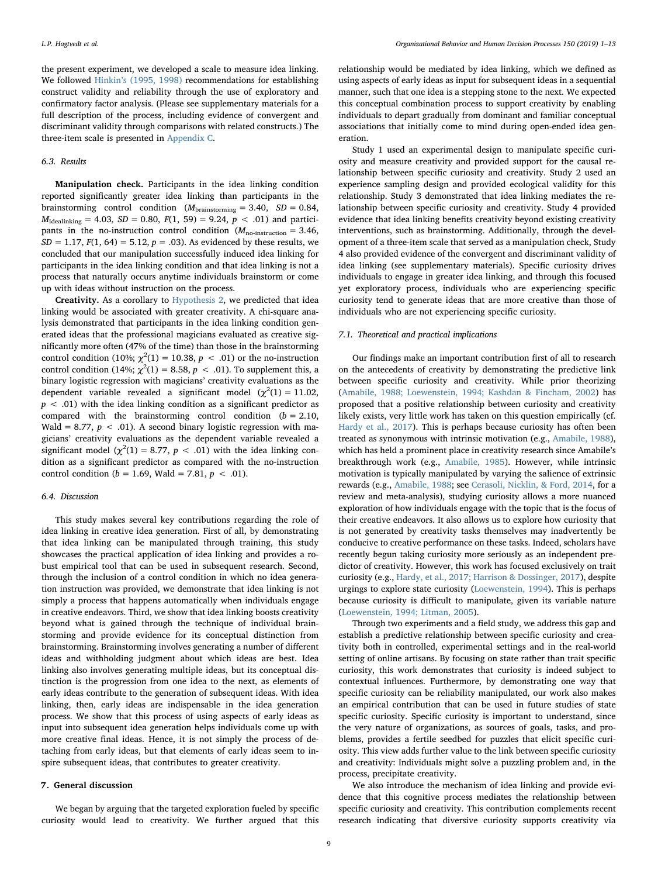L.P. Hagtvedt et al. *Organizational Behavior and Human Decision Processes 150 (2019) 1–13*

the present experiment, we developed a scale to measure idea linking. We followed Hinkin'[s \(1995, 1998\)](#page-11-34) recommendations for establishing construct validity and reliability through the use of exploratory and confirmatory factor analysis. (Please see supplementary materials for a full description of the process, including evidence of convergent and discriminant validity through comparisons with related constructs.) The three-item scale is presented in [Appendix C.](#page-2-1)

# 6.3. Results

Manipulation check. Participants in the idea linking condition reported significantly greater idea linking than participants in the brainstorming control condition  $(M_{\text{brainstorming}} = 3.40, SD = 0.84,$  $M_{\text{idealinking}} = 4.03, SD = 0.80, F(1, 59) = 9.24, p < .01)$  and participants in the no-instruction control condition  $(M_{no-{\rm instruction}} = 3.46,$  $SD = 1.17, F(1, 64) = 5.12, p = .03$ . As evidenced by these results, we concluded that our manipulation successfully induced idea linking for participants in the idea linking condition and that idea linking is not a process that naturally occurs anytime individuals brainstorm or come up with ideas without instruction on the process.

Creativity. As a corollary to [Hypothesis 2](#page-2-0), we predicted that idea linking would be associated with greater creativity. A chi-square analysis demonstrated that participants in the idea linking condition generated ideas that the professional magicians evaluated as creative significantly more often (47% of the time) than those in the brainstorming control condition (10%;  $\chi^2(1) = 10.38, p < .01$ ) or the no-instruction control condition (14%;  $\chi^2(1) = 8.58$ ,  $p < .01$ ). To supplement this, a binary logistic regression with magicians' creativity evaluations as the dependent variable revealed a significant model  $(\chi^2(1) = 11.02,$  $p < .01$ ) with the idea linking condition as a significant predictor as compared with the brainstorming control condition  $(b = 2.10,$ Wald = 8.77,  $p < .01$ ). A second binary logistic regression with magicians' creativity evaluations as the dependent variable revealed a significant model ( $\chi^2(1) = 8.77$ ,  $p < .01$ ) with the idea linking condition as a significant predictor as compared with the no-instruction control condition ( $b = 1.69$ , Wald = 7.81,  $p < .01$ ).

## 6.4. Discussion

This study makes several key contributions regarding the role of idea linking in creative idea generation. First of all, by demonstrating that idea linking can be manipulated through training, this study showcases the practical application of idea linking and provides a robust empirical tool that can be used in subsequent research. Second, through the inclusion of a control condition in which no idea generation instruction was provided, we demonstrate that idea linking is not simply a process that happens automatically when individuals engage in creative endeavors. Third, we show that idea linking boosts creativity beyond what is gained through the technique of individual brainstorming and provide evidence for its conceptual distinction from brainstorming. Brainstorming involves generating a number of different ideas and withholding judgment about which ideas are best. Idea linking also involves generating multiple ideas, but its conceptual distinction is the progression from one idea to the next, as elements of early ideas contribute to the generation of subsequent ideas. With idea linking, then, early ideas are indispensable in the idea generation process. We show that this process of using aspects of early ideas as input into subsequent idea generation helps individuals come up with more creative final ideas. Hence, it is not simply the process of detaching from early ideas, but that elements of early ideas seem to inspire subsequent ideas, that contributes to greater creativity.

#### 7. General discussion

We began by arguing that the targeted exploration fueled by specific curiosity would lead to creativity. We further argued that this relationship would be mediated by idea linking, which we defined as using aspects of early ideas as input for subsequent ideas in a sequential manner, such that one idea is a stepping stone to the next. We expected this conceptual combination process to support creativity by enabling individuals to depart gradually from dominant and familiar conceptual associations that initially come to mind during open-ended idea generation.

Study 1 used an experimental design to manipulate specific curiosity and measure creativity and provided support for the causal relationship between specific curiosity and creativity. Study 2 used an experience sampling design and provided ecological validity for this relationship. Study 3 demonstrated that idea linking mediates the relationship between specific curiosity and creativity. Study 4 provided evidence that idea linking benefits creativity beyond existing creativity interventions, such as brainstorming. Additionally, through the development of a three-item scale that served as a manipulation check, Study 4 also provided evidence of the convergent and discriminant validity of idea linking (see supplementary materials). Specific curiosity drives individuals to engage in greater idea linking, and through this focused yet exploratory process, individuals who are experiencing specific curiosity tend to generate ideas that are more creative than those of individuals who are not experiencing specific curiosity.

## 7.1. Theoretical and practical implications

Our findings make an important contribution first of all to research on the antecedents of creativity by demonstrating the predictive link between specific curiosity and creativity. While prior theorizing ([Amabile, 1988; Loewenstein, 1994; Kashdan & Fincham, 2002](#page-10-7)) has proposed that a positive relationship between curiosity and creativity likely exists, very little work has taken on this question empirically (cf. [Hardy et al., 2017](#page-11-2)). This is perhaps because curiosity has often been treated as synonymous with intrinsic motivation (e.g., [Amabile, 1988](#page-10-7)), which has held a prominent place in creativity research since Amabile's breakthrough work (e.g., [Amabile, 1985](#page-10-9)). However, while intrinsic motivation is typically manipulated by varying the salience of extrinsic rewards (e.g., [Amabile, 1988](#page-10-7); see [Cerasoli, Nicklin, & Ford, 2014,](#page-11-35) for a review and meta-analysis), studying curiosity allows a more nuanced exploration of how individuals engage with the topic that is the focus of their creative endeavors. It also allows us to explore how curiosity that is not generated by creativity tasks themselves may inadvertently be conducive to creative performance on these tasks. Indeed, scholars have recently begun taking curiosity more seriously as an independent predictor of creativity. However, this work has focused exclusively on trait curiosity (e.g., [Hardy, et al., 2017; Harrison & Dossinger, 2017](#page-11-2)), despite urgings to explore state curiosity [\(Loewenstein, 1994](#page-11-8)). This is perhaps because curiosity is difficult to manipulate, given its variable nature ([Loewenstein, 1994; Litman, 2005\)](#page-11-8).

Through two experiments and a field study, we address this gap and establish a predictive relationship between specific curiosity and creativity both in controlled, experimental settings and in the real-world setting of online artisans. By focusing on state rather than trait specific curiosity, this work demonstrates that curiosity is indeed subject to contextual influences. Furthermore, by demonstrating one way that specific curiosity can be reliability manipulated, our work also makes an empirical contribution that can be used in future studies of state specific curiosity. Specific curiosity is important to understand, since the very nature of organizations, as sources of goals, tasks, and problems, provides a fertile seedbed for puzzles that elicit specific curiosity. This view adds further value to the link between specific curiosity and creativity: Individuals might solve a puzzling problem and, in the process, precipitate creativity.

We also introduce the mechanism of idea linking and provide evidence that this cognitive process mediates the relationship between specific curiosity and creativity. This contribution complements recent research indicating that diversive curiosity supports creativity via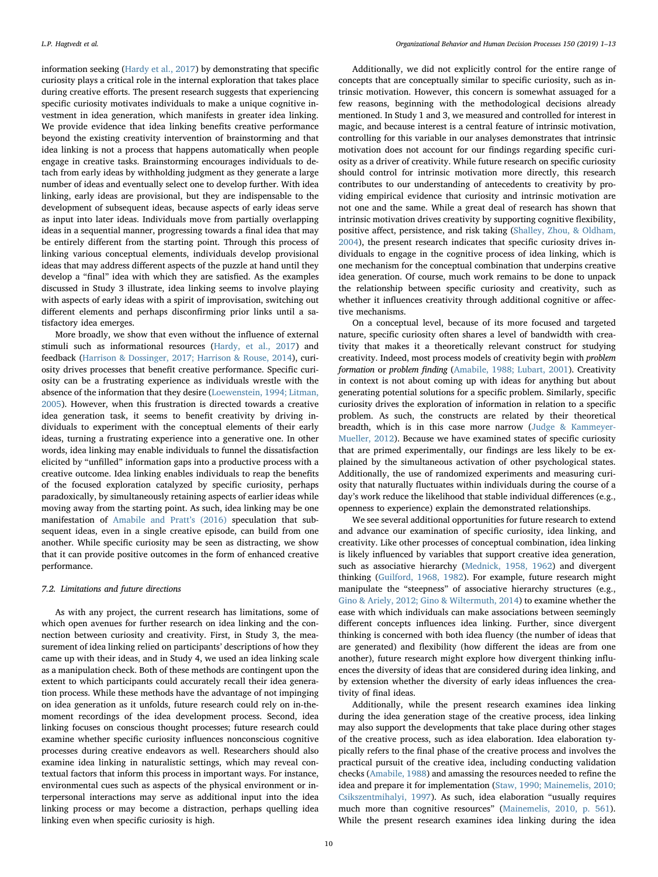information seeking [\(Hardy et al., 2017\)](#page-11-2) by demonstrating that specific curiosity plays a critical role in the internal exploration that takes place during creative efforts. The present research suggests that experiencing specific curiosity motivates individuals to make a unique cognitive investment in idea generation, which manifests in greater idea linking. We provide evidence that idea linking benefits creative performance beyond the existing creativity intervention of brainstorming and that idea linking is not a process that happens automatically when people engage in creative tasks. Brainstorming encourages individuals to detach from early ideas by withholding judgment as they generate a large number of ideas and eventually select one to develop further. With idea linking, early ideas are provisional, but they are indispensable to the development of subsequent ideas, because aspects of early ideas serve as input into later ideas. Individuals move from partially overlapping ideas in a sequential manner, progressing towards a final idea that may be entirely different from the starting point. Through this process of linking various conceptual elements, individuals develop provisional ideas that may address different aspects of the puzzle at hand until they develop a "final" idea with which they are satisfied. As the examples discussed in Study 3 illustrate, idea linking seems to involve playing with aspects of early ideas with a spirit of improvisation, switching out different elements and perhaps disconfirming prior links until a satisfactory idea emerges.

More broadly, we show that even without the influence of external stimuli such as informational resources ([Hardy, et al., 2017\)](#page-11-2) and feedback ([Harrison & Dossinger, 2017; Harrison & Rouse, 2014](#page-11-3)), curiosity drives processes that benefit creative performance. Specific curiosity can be a frustrating experience as individuals wrestle with the absence of the information that they desire ([Loewenstein, 1994; Litman,](#page-11-8) [2005\)](#page-11-8). However, when this frustration is directed towards a creative idea generation task, it seems to benefit creativity by driving individuals to experiment with the conceptual elements of their early ideas, turning a frustrating experience into a generative one. In other words, idea linking may enable individuals to funnel the dissatisfaction elicited by "unfilled" information gaps into a productive process with a creative outcome. Idea linking enables individuals to reap the benefits of the focused exploration catalyzed by specific curiosity, perhaps paradoxically, by simultaneously retaining aspects of earlier ideas while moving away from the starting point. As such, idea linking may be one manifestation of [Amabile and Pratt](#page-10-10)'s (2016) speculation that subsequent ideas, even in a single creative episode, can build from one another. While specific curiosity may be seen as distracting, we show that it can provide positive outcomes in the form of enhanced creative performance.

# 7.2. Limitations and future directions

As with any project, the current research has limitations, some of which open avenues for further research on idea linking and the connection between curiosity and creativity. First, in Study 3, the measurement of idea linking relied on participants' descriptions of how they came up with their ideas, and in Study 4, we used an idea linking scale as a manipulation check. Both of these methods are contingent upon the extent to which participants could accurately recall their idea generation process. While these methods have the advantage of not impinging on idea generation as it unfolds, future research could rely on in-themoment recordings of the idea development process. Second, idea linking focuses on conscious thought processes; future research could examine whether specific curiosity influences nonconscious cognitive processes during creative endeavors as well. Researchers should also examine idea linking in naturalistic settings, which may reveal contextual factors that inform this process in important ways. For instance, environmental cues such as aspects of the physical environment or interpersonal interactions may serve as additional input into the idea linking process or may become a distraction, perhaps quelling idea linking even when specific curiosity is high.

Additionally, we did not explicitly control for the entire range of concepts that are conceptually similar to specific curiosity, such as intrinsic motivation. However, this concern is somewhat assuaged for a few reasons, beginning with the methodological decisions already mentioned. In Study 1 and 3, we measured and controlled for interest in magic, and because interest is a central feature of intrinsic motivation, controlling for this variable in our analyses demonstrates that intrinsic motivation does not account for our findings regarding specific curiosity as a driver of creativity. While future research on specific curiosity should control for intrinsic motivation more directly, this research contributes to our understanding of antecedents to creativity by providing empirical evidence that curiosity and intrinsic motivation are not one and the same. While a great deal of research has shown that intrinsic motivation drives creativity by supporting cognitive flexibility, positive affect, persistence, and risk taking [\(Shalley, Zhou, & Oldham,](#page-11-36) [2004\)](#page-11-36), the present research indicates that specific curiosity drives individuals to engage in the cognitive process of idea linking, which is one mechanism for the conceptual combination that underpins creative idea generation. Of course, much work remains to be done to unpack the relationship between specific curiosity and creativity, such as whether it influences creativity through additional cognitive or affective mechanisms.

On a conceptual level, because of its more focused and targeted nature, specific curiosity often shares a level of bandwidth with creativity that makes it a theoretically relevant construct for studying creativity. Indeed, most process models of creativity begin with problem formation or problem finding [\(Amabile, 1988; Lubart, 2001\)](#page-10-7). Creativity in context is not about coming up with ideas for anything but about generating potential solutions for a specific problem. Similarly, specific curiosity drives the exploration of information in relation to a specific problem. As such, the constructs are related by their theoretical breadth, which is in this case more narrow [\(Judge & Kammeyer-](#page-11-37)[Mueller, 2012\)](#page-11-37). Because we have examined states of specific curiosity that are primed experimentally, our findings are less likely to be explained by the simultaneous activation of other psychological states. Additionally, the use of randomized experiments and measuring curiosity that naturally fluctuates within individuals during the course of a day's work reduce the likelihood that stable individual differences (e.g., openness to experience) explain the demonstrated relationships.

We see several additional opportunities for future research to extend and advance our examination of specific curiosity, idea linking, and creativity. Like other processes of conceptual combination, idea linking is likely influenced by variables that support creative idea generation, such as associative hierarchy [\(Mednick, 1958, 1962\)](#page-11-38) and divergent thinking ([Guilford, 1968, 1982\)](#page-11-39). For example, future research might manipulate the "steepness" of associative hierarchy structures (e.g., [Gino & Ariely, 2012; Gino & Wiltermuth, 2014\)](#page-11-20) to examine whether the ease with which individuals can make associations between seemingly different concepts influences idea linking. Further, since divergent thinking is concerned with both idea fluency (the number of ideas that are generated) and flexibility (how different the ideas are from one another), future research might explore how divergent thinking influences the diversity of ideas that are considered during idea linking, and by extension whether the diversity of early ideas influences the creativity of final ideas.

Additionally, while the present research examines idea linking during the idea generation stage of the creative process, idea linking may also support the developments that take place during other stages of the creative process, such as idea elaboration. Idea elaboration typically refers to the final phase of the creative process and involves the practical pursuit of the creative idea, including conducting validation checks ([Amabile, 1988](#page-10-7)) and amassing the resources needed to refine the idea and prepare it for implementation ([Staw, 1990; Mainemelis, 2010;](#page-11-40) [Csikszentmihalyi, 1997](#page-11-40)). As such, idea elaboration "usually requires much more than cognitive resources" [\(Mainemelis, 2010, p. 561](#page-11-41)). While the present research examines idea linking during the idea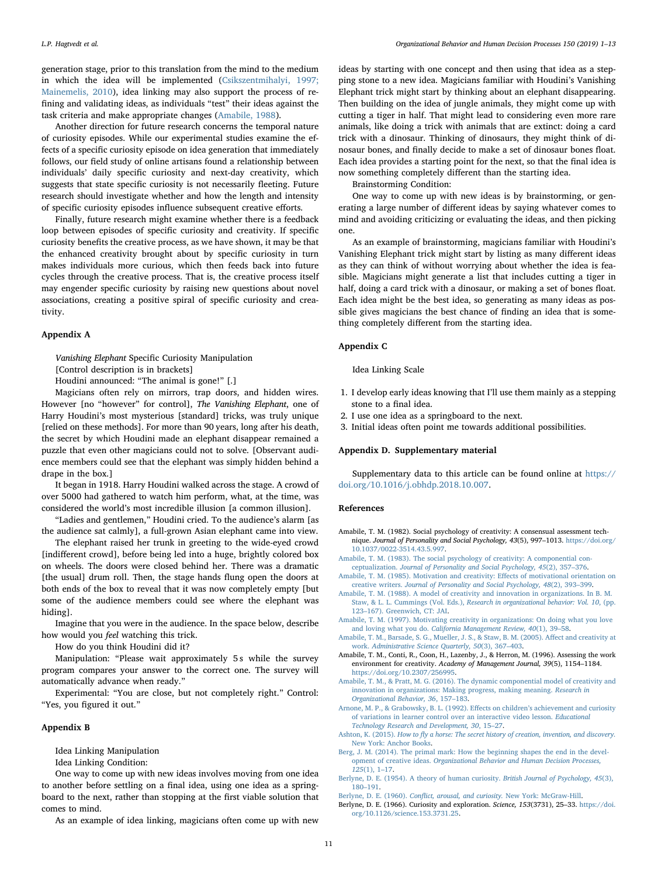generation stage, prior to this translation from the mind to the medium in which the idea will be implemented [\(Csikszentmihalyi, 1997;](#page-11-42) [Mainemelis, 2010\)](#page-11-42), idea linking may also support the process of refining and validating ideas, as individuals "test" their ideas against the task criteria and make appropriate changes [\(Amabile, 1988\)](#page-10-7).

Another direction for future research concerns the temporal nature of curiosity episodes. While our experimental studies examine the effects of a specific curiosity episode on idea generation that immediately follows, our field study of online artisans found a relationship between individuals' daily specific curiosity and next-day creativity, which suggests that state specific curiosity is not necessarily fleeting. Future research should investigate whether and how the length and intensity of specific curiosity episodes influence subsequent creative efforts.

Finally, future research might examine whether there is a feedback loop between episodes of specific curiosity and creativity. If specific curiosity benefits the creative process, as we have shown, it may be that the enhanced creativity brought about by specific curiosity in turn makes individuals more curious, which then feeds back into future cycles through the creative process. That is, the creative process itself may engender specific curiosity by raising new questions about novel associations, creating a positive spiral of specific curiosity and creativity.

#### Appendix A

Vanishing Elephant Specific Curiosity Manipulation [Control description is in brackets]

Houdini announced: "The animal is gone!" [.]

Magicians often rely on mirrors, trap doors, and hidden wires. However [no "however" for control], The Vanishing Elephant, one of Harry Houdini's most mysterious [standard] tricks, was truly unique [relied on these methods]. For more than 90 years, long after his death, the secret by which Houdini made an elephant disappear remained a puzzle that even other magicians could not to solve. [Observant audience members could see that the elephant was simply hidden behind a drape in the box.]

It began in 1918. Harry Houdini walked across the stage. A crowd of over 5000 had gathered to watch him perform, what, at the time, was considered the world's most incredible illusion [a common illusion].

"Ladies and gentlemen," Houdini cried. To the audience's alarm [as the audience sat calmly], a full-grown Asian elephant came into view.

The elephant raised her trunk in greeting to the wide-eyed crowd [indifferent crowd], before being led into a huge, brightly colored box on wheels. The doors were closed behind her. There was a dramatic [the usual] drum roll. Then, the stage hands flung open the doors at both ends of the box to reveal that it was now completely empty [but some of the audience members could see where the elephant was hiding].

Imagine that you were in the audience. In the space below, describe how would you feel watching this trick.

How do you think Houdini did it?

Manipulation: "Please wait approximately 5 s while the survey program compares your answer to the correct one. The survey will automatically advance when ready."

Experimental: "You are close, but not completely right." Control: "Yes, you figured it out."

# Appendix B

Idea Linking Manipulation

Idea Linking Condition:

One way to come up with new ideas involves moving from one idea to another before settling on a final idea, using one idea as a springboard to the next, rather than stopping at the first viable solution that comes to mind.

As an example of idea linking, magicians often come up with new

ideas by starting with one concept and then using that idea as a stepping stone to a new idea. Magicians familiar with Houdini's Vanishing Elephant trick might start by thinking about an elephant disappearing. Then building on the idea of jungle animals, they might come up with cutting a tiger in half. That might lead to considering even more rare animals, like doing a trick with animals that are extinct: doing a card trick with a dinosaur. Thinking of dinosaurs, they might think of dinosaur bones, and finally decide to make a set of dinosaur bones float. Each idea provides a starting point for the next, so that the final idea is now something completely different than the starting idea.

Brainstorming Condition:

One way to come up with new ideas is by brainstorming, or generating a large number of different ideas by saying whatever comes to mind and avoiding criticizing or evaluating the ideas, and then picking one.

As an example of brainstorming, magicians familiar with Houdini's Vanishing Elephant trick might start by listing as many different ideas as they can think of without worrying about whether the idea is feasible. Magicians might generate a list that includes cutting a tiger in half, doing a card trick with a dinosaur, or making a set of bones float. Each idea might be the best idea, so generating as many ideas as possible gives magicians the best chance of finding an idea that is something completely different from the starting idea.

## Appendix C

#### Idea Linking Scale

- 1. I develop early ideas knowing that I'll use them mainly as a stepping stone to a final idea.
- 2. I use one idea as a springboard to the next.
- 3. Initial ideas often point me towards additional possibilities.

## Appendix D. Supplementary material

Supplementary data to this article can be found online at [https://](https://doi.org/10.1016/j.obhdp.2018.10.007) [doi.org/10.1016/j.obhdp.2018.10.007.](https://doi.org/10.1016/j.obhdp.2018.10.007)

## References

<span id="page-10-6"></span>Amabile, T. M. (1982). Social psychology of creativity: A consensual assessment technique. Journal of Personality and Social Psychology, 43(5), 997–1013. [https://doi.org/](https://doi.org/10.1037/0022-3514.43.5.997) [10.1037/0022-3514.43.5.997.](https://doi.org/10.1037/0022-3514.43.5.997)

<span id="page-10-1"></span>[Amabile, T. M. \(1983\). The social psychology of creativity: A componential con](http://refhub.elsevier.com/S0749-5978(17)30055-9/h0010)ceptualization. [Journal of Personality and Social Psychology, 45](http://refhub.elsevier.com/S0749-5978(17)30055-9/h0010)(2), 357–376.

<span id="page-10-9"></span>[Amabile, T. M. \(1985\). Motivation and creativity: E](http://refhub.elsevier.com/S0749-5978(17)30055-9/h0015)ffects of motivational orientation on creative writers. [Journal of Personality and Social Psychology, 48](http://refhub.elsevier.com/S0749-5978(17)30055-9/h0015)(2), 393–399.

- <span id="page-10-7"></span>[Amabile, T. M. \(1988\). A model of creativity and innovation in organizations. In B. M.](http://refhub.elsevier.com/S0749-5978(17)30055-9/h0020) Staw, & L. L. Cummings (Vol. Eds.), [Research in organizational behavior: Vol. 10](http://refhub.elsevier.com/S0749-5978(17)30055-9/h0020), (pp. 123–[167\). Greenwich, CT: JAI](http://refhub.elsevier.com/S0749-5978(17)30055-9/h0020).
- <span id="page-10-0"></span>[Amabile, T. M. \(1997\). Motivating creativity in organizations: On doing what you love](http://refhub.elsevier.com/S0749-5978(17)30055-9/h0025) and loving what you do. [California Management Review, 40](http://refhub.elsevier.com/S0749-5978(17)30055-9/h0025)(1), 39–58.
- <span id="page-10-8"></span>[Amabile, T. M., Barsade, S. G., Mueller, J. S., & Staw, B. M. \(2005\). A](http://refhub.elsevier.com/S0749-5978(17)30055-9/h0030)ffect and creativity at work. [Administrative Science Quarterly, 50](http://refhub.elsevier.com/S0749-5978(17)30055-9/h0030)(3), 367–403.
- Amabile, T. M., Conti, R., Coon, H., Lazenby, J., & Herron, M. (1996). Assessing the work environment for creativity. Academy of Management Journal, 39(5), 1154–1184. [https://doi.org/10.2307/256995.](https://doi.org/10.2307/256995)
- <span id="page-10-10"></span>[Amabile, T. M., & Pratt, M. G. \(2016\). The dynamic componential model of creativity and](http://refhub.elsevier.com/S0749-5978(17)30055-9/h0040) [innovation in organizations: Making progress, making meaning.](http://refhub.elsevier.com/S0749-5978(17)30055-9/h0040) Research in [Organizational Behavior, 36](http://refhub.elsevier.com/S0749-5978(17)30055-9/h0040), 157–183.
- <span id="page-10-5"></span>[Arnone, M. P., & Grabowsky, B. L. \(1992\). E](http://refhub.elsevier.com/S0749-5978(17)30055-9/h0045)ffects on children's achievement and curiosity [of variations in learner control over an interactive video lesson.](http://refhub.elsevier.com/S0749-5978(17)30055-9/h0045) Educational [Technology Research and Development, 30](http://refhub.elsevier.com/S0749-5978(17)30055-9/h0045), 15–27.
- <span id="page-10-4"></span>Ashton, K. (2015). How to fl[y a horse: The secret history of creation, invention, and discovery.](http://refhub.elsevier.com/S0749-5978(17)30055-9/h0050) [New York: Anchor Books](http://refhub.elsevier.com/S0749-5978(17)30055-9/h0050).
- [Berg, J. M. \(2014\). The primal mark: How the beginning shapes the end in the devel](http://refhub.elsevier.com/S0749-5978(17)30055-9/h0055)opment of creative ideas. [Organizational Behavior and Human Decision Processes,](http://refhub.elsevier.com/S0749-5978(17)30055-9/h0055)  $125(1), 1-17.$  $125(1), 1-17.$  $125(1), 1-17.$
- <span id="page-10-3"></span>[Berlyne, D. E. \(1954\). A theory of human curiosity.](http://refhub.elsevier.com/S0749-5978(17)30055-9/h0060) British Journal of Psychology, 45(3), 180–[191](http://refhub.elsevier.com/S0749-5978(17)30055-9/h0060).
- <span id="page-10-2"></span>Berlyne, D. E. (1960). Confl[ict, arousal, and curiosity.](http://refhub.elsevier.com/S0749-5978(17)30055-9/h0065) New York: McGraw-Hill.
- Berlyne, D. E. (1966). Curiosity and exploration. Science, 153(3731), 25–33. [https://doi.](https://doi.org/10.1126/science.153.3731.25) [org/10.1126/science.153.3731.25](https://doi.org/10.1126/science.153.3731.25).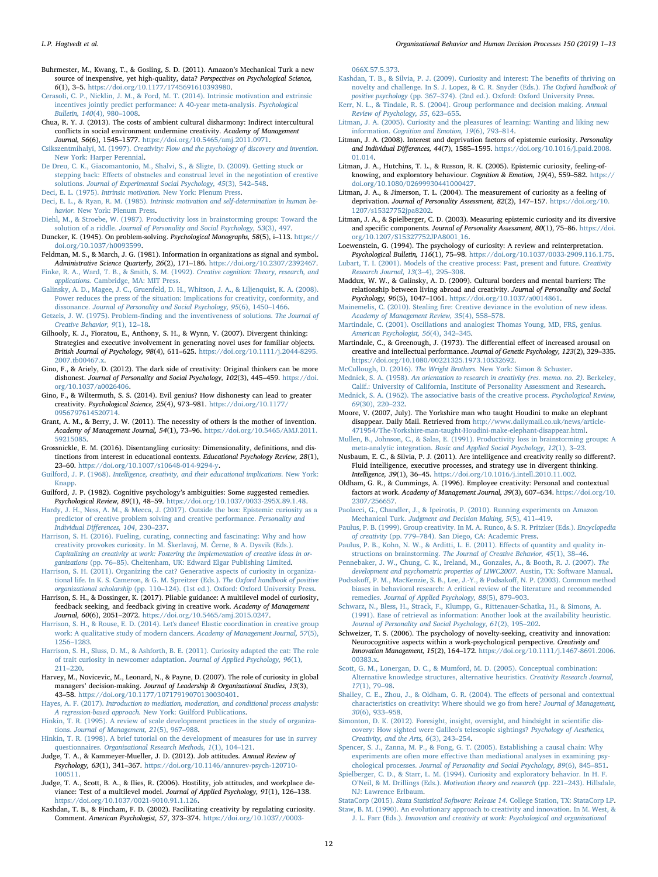<span id="page-11-17"></span>Buhrmester, M., Kwang, T., & Gosling, S. D. (2011). Amazon's Mechanical Turk a new source of inexpensive, yet high-quality, data? Perspectives on Psychological Science, 6(1), 3–5. [https://doi.org/10.1177/1745691610393980.](https://doi.org/10.1177/1745691610393980)

<span id="page-11-35"></span>[Cerasoli, C. P., Nicklin, J. M., & Ford, M. T. \(2014\). Intrinsic motivation and extrinsic](http://refhub.elsevier.com/S0749-5978(17)30055-9/h0080) [incentives jointly predict performance: A 40-year meta-analysis.](http://refhub.elsevier.com/S0749-5978(17)30055-9/h0080) Psychological [Bulletin, 140](http://refhub.elsevier.com/S0749-5978(17)30055-9/h0080)(4), 980–1008.

- <span id="page-11-16"></span>Chua, R. Y. J. (2013). The costs of ambient cultural disharmony: Indirect intercultural conflicts in social environment undermine creativity. Academy of Management Journal, 56(6), 1545–1577. [https://doi.org/10.5465/amj.2011.0971.](https://doi.org/10.5465/amj.2011.0971)
- <span id="page-11-42"></span>Csikszentmihalyi, M. (1997). [Creativity: Flow and the psychology of discovery and invention.](http://refhub.elsevier.com/S0749-5978(17)30055-9/h0090) [New York: Harper Perennial](http://refhub.elsevier.com/S0749-5978(17)30055-9/h0090).
- <span id="page-11-4"></span>[De Dreu, C. K., Giacomantonio, M., Shalvi, S., & Sligte, D. \(2009\). Getting stuck or](http://refhub.elsevier.com/S0749-5978(17)30055-9/h0095) stepping back: Eff[ects of obstacles and construal level in the negotiation of creative](http://refhub.elsevier.com/S0749-5978(17)30055-9/h0095) solutions. [Journal of Experimental Social Psychology, 45](http://refhub.elsevier.com/S0749-5978(17)30055-9/h0095)(3), 542–548.

<span id="page-11-23"></span>Deci, E. L. (1975). Intrinsic motivation. [New York: Plenum Press.](http://refhub.elsevier.com/S0749-5978(17)30055-9/h0100)

Deci, E. L., & Ryan, R. M. (1985). [Intrinsic motivation and self-determination in human be](http://refhub.elsevier.com/S0749-5978(17)30055-9/h0105)havior. [New York: Plenum Press](http://refhub.elsevier.com/S0749-5978(17)30055-9/h0105).

[Diehl, M., & Stroebe, W. \(1987\). Productivity loss in brainstorming groups: Toward the](http://refhub.elsevier.com/S0749-5978(17)30055-9/h0110) solution of a riddle. [Journal of Personality and Social Psychology, 53](http://refhub.elsevier.com/S0749-5978(17)30055-9/h0110)(3), 497

<span id="page-11-21"></span>Duncker, K. (1945). On problem-solving. Psychological Monographs, 58(5), i–113. [https://](https://doi.org/10.1037/h0093599) [doi.org/10.1037/h0093599](https://doi.org/10.1037/h0093599).

Feldman, M. S., & March, J. G. (1981). Information in organizations as signal and symbol. Administrative Science Quarterly, 26(2), 171–186. <https://doi.org/10.2307/2392467>.

<span id="page-11-15"></span>[Finke, R. A., Ward, T. B., & Smith, S. M. \(1992\).](http://refhub.elsevier.com/S0749-5978(17)30055-9/h0125) Creative cognition: Theory, research, and applications. [Cambridge, MA: MIT Press.](http://refhub.elsevier.com/S0749-5978(17)30055-9/h0125)

[Galinsky, A. D., Magee, J. C., Gruenfeld, D. H., Whitson, J. A., & Liljenquist, K. A. \(2008\).](http://refhub.elsevier.com/S0749-5978(17)30055-9/h0130) [Power reduces the press of the situation: Implications for creativity, conformity, and](http://refhub.elsevier.com/S0749-5978(17)30055-9/h0130) dissonance. [Journal of Personality and Social Psychology, 95](http://refhub.elsevier.com/S0749-5978(17)30055-9/h0130)(6), 1450–1466.

<span id="page-11-11"></span>Getzels, J. W. (1975). Problem-fi[nding and the inventiveness of solutions.](http://refhub.elsevier.com/S0749-5978(17)30055-9/h0135) The Journal of [Creative Behavior, 9](http://refhub.elsevier.com/S0749-5978(17)30055-9/h0135)(1), 12–18.

<span id="page-11-22"></span>Gilhooly, K. J., Fioratou, E., Anthony, S. H., & Wynn, V. (2007). Divergent thinking: Strategies and executive involvement in generating novel uses for familiar objects. British Journal of Psychology, 98(4), 611–625. [https://doi.org/10.1111/j.2044-8295.](https://doi.org/10.1111/j.2044-8295.2007.tb00467.x) [2007.tb00467.x](https://doi.org/10.1111/j.2044-8295.2007.tb00467.x).

<span id="page-11-20"></span>Gino, F., & Ariely, D. (2012). The dark side of creativity: Original thinkers can be more dishonest. Journal of Personality and Social Psychology, 102(3), 445-459. [https://doi.](https://doi.org/10.1037/a0026406) [org/10.1037/a0026406.](https://doi.org/10.1037/a0026406)

<span id="page-11-31"></span>Gino, F., & Wiltermuth, S. S. (2014). Evil genius? How dishonesty can lead to greater creativity. Psychological Science, 25(4), 973–981. [https://doi.org/10.1177/](https://doi.org/10.1177/0956797614520714) [0956797614520714.](https://doi.org/10.1177/0956797614520714)

Grant, A. M., & Berry, J. W. (2011). The necessity of others is the mother of invention. Academy of Management Journal, 54(1), 73–96. [https://doi.org/10.5465/AMJ.2011.](https://doi.org/10.5465/AMJ.2011.59215085) [59215085](https://doi.org/10.5465/AMJ.2011.59215085).

- Grossnickle, E. M. (2016). Disentangling curiosity: Dimensionality, definitions, and distinctions from interest in educational contexts. Educational Psychology Review, 28(1), 23–60. [https://doi.org/10.1007/s10648-014-9294-y.](https://doi.org/10.1007/s10648-014-9294-y)
- <span id="page-11-39"></span>Guilford, J. P. (1968). [Intelligence, creativity, and their educational implications.](http://refhub.elsevier.com/S0749-5978(17)30055-9/h0165) New York: [Knapp.](http://refhub.elsevier.com/S0749-5978(17)30055-9/h0165)

Guilford, J. P. (1982). Cognitive psychology's ambiguities: Some suggested remedies. Psychological Review, 89(1), 48–59. <https://doi.org/10.1037/0033-295X.89.1.48>.

<span id="page-11-2"></span>[Hardy, J. H., Ness, A. M., & Mecca, J. \(2017\). Outside the box: Epistemic curiosity as a](http://refhub.elsevier.com/S0749-5978(17)30055-9/h0175) [predictor of creative problem solving and creative performance.](http://refhub.elsevier.com/S0749-5978(17)30055-9/h0175) Personality and [Individual Di](http://refhub.elsevier.com/S0749-5978(17)30055-9/h0175)fferences, 104, 230–237.

<span id="page-11-1"></span>[Harrison, S. H. \(2016\). Fueling, curating, connecting and fascinating: Why and how](http://refhub.elsevier.com/S0749-5978(17)30055-9/h0180) [creativity provokes curiosity. In M.](http://refhub.elsevier.com/S0749-5978(17)30055-9/h0180) Škerlavaj, M. Černe, & A. Dysvik (Eds.). [Capitalizing on creativity at work: Fostering the implementation of creative ideas in or](http://refhub.elsevier.com/S0749-5978(17)30055-9/h0180)ganizations (pp. 76–[85\). Cheltenham, UK: Edward Elgar Publishing Limited](http://refhub.elsevier.com/S0749-5978(17)30055-9/h0180).

<span id="page-11-6"></span>[Harrison, S. H. \(2011\). Organizing the cat? Generative aspects of curiosity in organiza](http://refhub.elsevier.com/S0749-5978(17)30055-9/h0185)[tional life. In K. S. Cameron, & G. M. Spreitzer \(Eds.\).](http://refhub.elsevier.com/S0749-5978(17)30055-9/h0185) The Oxford handbook of positive organizational scholarship (pp. 110–[124\). \(1st ed.\). Oxford: Oxford University Press](http://refhub.elsevier.com/S0749-5978(17)30055-9/h0185).

<span id="page-11-3"></span>Harrison, S. H., & Dossinger, K. (2017). Pliable guidance: A multilevel model of curiosity, feedback seeking, and feedback giving in creative work. Academy of Management Journal, 60(6), 2051–2072. [https://doi.org/10.5465/amj.2015.0247.](https://doi.org/10.5465/amj.2015.0247)

[Harrison, S. H., & Rouse, E. D. \(2014\). Let's dance! Elastic coordination in creative group](http://refhub.elsevier.com/S0749-5978(17)30055-9/h0195) [work: A qualitative study of modern dancers.](http://refhub.elsevier.com/S0749-5978(17)30055-9/h0195) Academy of Management Journal, 57(5), 1256–[1283](http://refhub.elsevier.com/S0749-5978(17)30055-9/h0195).

[Harrison, S. H., Sluss, D. M., & Ashforth, B. E. \(2011\). Curiosity adapted the cat: The role](http://refhub.elsevier.com/S0749-5978(17)30055-9/h0200) of [trait curiosity in newcomer adaptation.](http://refhub.elsevier.com/S0749-5978(17)30055-9/h0200) Journal of Applied Psychology, 96(1), 211–[220](http://refhub.elsevier.com/S0749-5978(17)30055-9/h0200).

<span id="page-11-5"></span>Harvey, M., Novicevic, M., Leonard, N., & Payne, D. (2007). The role of curiosity in global managers' decision-making. Journal of Leadership & Organizational Studies, 13(3), 43–58. [https://doi.org/10.1177/10717919070130030401.](https://doi.org/10.1177/10717919070130030401)

<span id="page-11-29"></span>Hayes, A. F. (2017). [Introduction to mediation, moderation, and conditional process analysis:](http://refhub.elsevier.com/S0749-5978(17)30055-9/h0210) A regression-based approach. [New York: Guilford Publications](http://refhub.elsevier.com/S0749-5978(17)30055-9/h0210).

<span id="page-11-34"></span>[Hinkin, T. R. \(1995\). A review of scale development practices in the study of organiza](http://refhub.elsevier.com/S0749-5978(17)30055-9/h0215)tions. [Journal of Management, 21](http://refhub.elsevier.com/S0749-5978(17)30055-9/h0215)(5), 967–988.

[Hinkin, T. R. \(1998\). A brief tutorial on the development of measures for use in survey](http://refhub.elsevier.com/S0749-5978(17)30055-9/h0220) questionnaires. [Organizational Research Methods, 1](http://refhub.elsevier.com/S0749-5978(17)30055-9/h0220)(1), 104–121.

<span id="page-11-37"></span>Judge, T. A., & Kammeyer-Mueller, J. D. (2012). Job attitudes. Annual Review of Psychology, 63(1), 341–367. [https://doi.org/10.1146/annurev-psych-120710-](https://doi.org/10.1146/annurev-psych-120710-100511) [100511](https://doi.org/10.1146/annurev-psych-120710-100511).

<span id="page-11-24"></span>Judge, T. A., Scott, B. A., & Ilies, R. (2006). Hostility, job attitudes, and workplace deviance: Test of a multilevel model. Journal of Applied Psychology, 91(1), 126–138. [https://doi.org/10.1037/0021-9010.91.1.126.](https://doi.org/10.1037/0021-9010.91.1.126)

Kashdan, T. B., & Fincham, F. D. (2002). Facilitating creativity by regulating curiosity. Comment. American Psychologist, 57, 373–374. [https://doi.org/10.1037//0003-](https://doi.org/10.1037//0003-066X.57.5.373) [066X.57.5.373](https://doi.org/10.1037//0003-066X.57.5.373).

<span id="page-11-0"></span>[Kashdan, T. B., & Silvia, P. J. \(2009\). Curiosity and interest: The bene](http://refhub.elsevier.com/S0749-5978(17)30055-9/h0240)fits of thriving on [novelty and challenge. In S. J. Lopez, & C. R. Snyder \(Eds.\).](http://refhub.elsevier.com/S0749-5978(17)30055-9/h0240) The Oxford handbook of positive psychology (pp. 367–[374\). \(2nd ed.\). Oxford: Oxford University Press.](http://refhub.elsevier.com/S0749-5978(17)30055-9/h0240)

- <span id="page-11-32"></span>[Kerr, N. L., & Tindale, R. S. \(2004\). Group performance and decision making.](http://refhub.elsevier.com/S0749-5978(17)30055-9/h0245) Annual [Review of Psychology, 55](http://refhub.elsevier.com/S0749-5978(17)30055-9/h0245), 623–655.
- [Litman, J. A. \(2005\). Curiosity and the pleasures of learning: Wanting and liking new](http://refhub.elsevier.com/S0749-5978(17)30055-9/h0250) information. [Cognition and Emotion, 19](http://refhub.elsevier.com/S0749-5978(17)30055-9/h0250)(6), 793–814.
- <span id="page-11-25"></span>Litman, J. A. (2008). Interest and deprivation factors of epistemic curiosity. Personality and Individual Differences, 44(7), 1585–1595. [https://doi.org/10.1016/j.paid.2008.](https://doi.org/10.1016/j.paid.2008.01.014)
- [01.014](https://doi.org/10.1016/j.paid.2008.01.014). Litman, J. A., Hutchins, T. L., & Russon, R. K. (2005). Epistemic curiosity, feeling-ofknowing, and exploratory behaviour. Cognition & Emotion, 19(4), 559–582. [https://](https://doi.org/10.1080/02699930441000427) [doi.org/10.1080/02699930441000427](https://doi.org/10.1080/02699930441000427).

<span id="page-11-7"></span>Litman, J. A., & Jimerson, T. L. (2004). The measurement of curiosity as a feeling of deprivation. Journal of Personality Assessment, 82(2), 147-157. [https://doi.org/10.](https://doi.org/10.1207/s15327752jpa8202) [1207/s15327752jpa8202](https://doi.org/10.1207/s15327752jpa8202).

<span id="page-11-18"></span>Litman, J. A., & Spielberger, C. D. (2003). Measuring epistemic curiosity and its diversive and specific components. Journal of Personality Assessment, 80(1), 75–86. [https://doi.](https://doi.org/10.1207/S15327752JPA8001_16) [org/10.1207/S15327752JPA8001\\_16](https://doi.org/10.1207/S15327752JPA8001_16).

<span id="page-11-8"></span>Loewenstein, G. (1994). The psychology of curiosity: A review and reinterpretation. Psychological Bulletin, 116(1), 75–98. <https://doi.org/10.1037/0033-2909.116.1.75>.

[Lubart, T. I. \(2001\). Models of the creative process: Past, present and future.](http://refhub.elsevier.com/S0749-5978(17)30055-9/h0280) Creativity [Research Journal, 13](http://refhub.elsevier.com/S0749-5978(17)30055-9/h0280)(3–4), 295–308.

Maddux, W. W., & Galinsky, A. D. (2009). Cultural borders and mental barriers: The relationship between living abroad and creativity. Journal of Personality and Social Psychology, 96(5), 1047–1061. <https://doi.org/10.1037/a0014861>.

<span id="page-11-41"></span>Mainemelis, C. (2010). Stealing fi[re: Creative deviance in the evolution of new ideas.](http://refhub.elsevier.com/S0749-5978(17)30055-9/h0290) [Academy of Management Review, 35](http://refhub.elsevier.com/S0749-5978(17)30055-9/h0290)(4), 558–578.

<span id="page-11-9"></span>[Martindale, C. \(2001\). Oscillations and analogies: Thomas Young, MD, FRS, genius.](http://refhub.elsevier.com/S0749-5978(17)30055-9/h0295) [American Psychologist, 56](http://refhub.elsevier.com/S0749-5978(17)30055-9/h0295)(4), 342–345.

Martindale, C., & Greenough, J. (1973). The differential effect of increased arousal on creative and intellectual performance. Journal of Genetic Psychology, 123(2), 329–335. [https://doi.org/10.1080/00221325.1973.10532692.](https://doi.org/10.1080/00221325.1973.10532692)

<span id="page-11-38"></span><span id="page-11-13"></span>McCullough, D. (2016). The Wright Brothers. [New York: Simon & Schuster.](http://refhub.elsevier.com/S0749-5978(17)30055-9/h0305) Mednick, S. A. (1958). [An orientation to research in creativity \(res. memo. no. 2\).](http://refhub.elsevier.com/S0749-5978(17)30055-9/h0310) Berkeley,

[Calif.: University of California, Institute of Personality Assessment and Research.](http://refhub.elsevier.com/S0749-5978(17)30055-9/h0310) [Mednick, S. A. \(1962\). The associative basis of the creative process.](http://refhub.elsevier.com/S0749-5978(17)30055-9/h0315) Psychological Review,

<span id="page-11-19"></span>69[\(30\), 220](http://refhub.elsevier.com/S0749-5978(17)30055-9/h0315)–232. Moore, V. (2007, July). The Yorkshire man who taught Houdini to make an elephant

disappear. Daily Mail. Retrieved from [http://www.dailymail.co.uk/news/article-](http://www.dailymail.co.uk/news/article-471954/The-Yorkshire-man-taught-Houdini-make-elephant-disappear.html)[471954/The-Yorkshire-man-taught-Houdini-make-elephant-disappear.html](http://www.dailymail.co.uk/news/article-471954/The-Yorkshire-man-taught-Houdini-make-elephant-disappear.html).

[Mullen, B., Johnson, C., & Salas, E. \(1991\). Productivity loss in brainstorming groups: A](http://refhub.elsevier.com/S0749-5978(17)30055-9/h0325) meta-analytic integration. [Basic and Applied Social Psychology, 12](http://refhub.elsevier.com/S0749-5978(17)30055-9/h0325)(1), 3–23.

- Nusbaum, E. C., & Silvia, P. J. (2011). Are intelligence and creativity really so different?. Fluid intelligence, executive processes, and strategy use in divergent thinking. Intelligence, 39(1), 36–45. [https://doi.org/10.1016/j.intell.2010.11.002.](https://doi.org/10.1016/j.intell.2010.11.002)
- Oldham, G. R., & Cummings, A. (1996). Employee creativity: Personal and contextual factors at work. Academy of Management Journal, 39(3), 607–634. [https://doi.org/10.](https://doi.org/10.2307/256657) [2307/256657.](https://doi.org/10.2307/256657)

[Paolacci, G., Chandler, J., & Ipeirotis, P. \(2010\). Running experiments on Amazon](http://refhub.elsevier.com/S0749-5978(17)30055-9/h0340) Mechanical Turk. [Judgment and Decision Making, 5](http://refhub.elsevier.com/S0749-5978(17)30055-9/h0340)(5), 411–419.

- <span id="page-11-14"></span>[Paulus, P. B. \(1999\). Group creativity. In M. A. Runco, & S. R. Pritzker \(Eds.\).](http://refhub.elsevier.com/S0749-5978(17)30055-9/h0345) Encyclopedia of creativity (pp. 779–[784\). San Diego, CA: Academic Press.](http://refhub.elsevier.com/S0749-5978(17)30055-9/h0345)
- <span id="page-11-33"></span>[Paulus, P. B., Kohn, N. W., & Arditti, L. E. \(2011\). E](http://refhub.elsevier.com/S0749-5978(17)30055-9/h0350)ffects of quantity and quality instructions on brainstorming. [The Journal of Creative Behavior, 45](http://refhub.elsevier.com/S0749-5978(17)30055-9/h0350)(1), 38–46.

<span id="page-11-26"></span>[Pennebaker, J. W., Chung, C. K., Ireland, M., Gonzales, A., & Booth, R. J. \(2007\).](http://refhub.elsevier.com/S0749-5978(17)30055-9/h0355) The [development and psychometric properties of LIWC2007.](http://refhub.elsevier.com/S0749-5978(17)30055-9/h0355) Austin, TX: Software Manual.

<span id="page-11-27"></span>Podsakoff[, P. M., MacKenzie, S. B., Lee, J.-Y., & Podsako](http://refhub.elsevier.com/S0749-5978(17)30055-9/h0360)ff, N. P. (2003). Common method [biases in behavioral research: A critical review of the literature and recommended](http://refhub.elsevier.com/S0749-5978(17)30055-9/h0360) remedies. [Journal of Applied Psychology, 88](http://refhub.elsevier.com/S0749-5978(17)30055-9/h0360)(5), 879–903.

<span id="page-11-12"></span>[Schwarz, N., Bless, H., Strack, F., Klumpp, G., Rittenauer-Schatka, H., & Simons, A.](http://refhub.elsevier.com/S0749-5978(17)30055-9/h0365) [\(1991\). Ease of retrieval as information: Another look at the availability heuristic.](http://refhub.elsevier.com/S0749-5978(17)30055-9/h0365) [Journal of Personality and Social Psychology, 61](http://refhub.elsevier.com/S0749-5978(17)30055-9/h0365)(2), 195–202.

Schweizer, T. S. (2006). The psychology of novelty-seeking, creativity and innovation: Neurocognitive aspects within a work-psychological perspective. Creativity and Innovation Management, 15(2), 164–172. [https://doi.org/10.1111/j.1467-8691.2006.](https://doi.org/10.1111/j.1467-8691.2006.00383.x) [00383.x.](https://doi.org/10.1111/j.1467-8691.2006.00383.x)

[Scott, G. M., Lonergan, D. C., & Mumford, M. D. \(2005\). Conceptual combination:](http://refhub.elsevier.com/S0749-5978(17)30055-9/h0375) [Alternative knowledge structures, alternative heuristics.](http://refhub.elsevier.com/S0749-5978(17)30055-9/h0375) Creativity Research Journal, 17[\(1\), 79](http://refhub.elsevier.com/S0749-5978(17)30055-9/h0375)–98.

<span id="page-11-36"></span>[Shalley, C. E., Zhou, J., & Oldham, G. R. \(2004\). The e](http://refhub.elsevier.com/S0749-5978(17)30055-9/h0380)ffects of personal and contextual [characteristics on creativity: Where should we go from here?](http://refhub.elsevier.com/S0749-5978(17)30055-9/h0380) Journal of Management, 30[\(6\), 933](http://refhub.elsevier.com/S0749-5978(17)30055-9/h0380)–958.

<span id="page-11-10"></span>[Simonton, D. K. \(2012\). Foresight, insight, oversight, and hindsight in scienti](http://refhub.elsevier.com/S0749-5978(17)30055-9/h0385)fic dis[covery: How sighted were Galileo's telescopic sightings?](http://refhub.elsevier.com/S0749-5978(17)30055-9/h0385) Psychology of Aesthetics, [Creativity, and the Arts, 6](http://refhub.elsevier.com/S0749-5978(17)30055-9/h0385)(3), 243–254.

<span id="page-11-30"></span>[Spencer, S. J., Zanna, M. P., & Fong, G. T. \(2005\). Establishing a causal chain: Why](http://refhub.elsevier.com/S0749-5978(17)30055-9/h0390) experiments are often more eff[ective than mediational analyses in examining psy](http://refhub.elsevier.com/S0749-5978(17)30055-9/h0390)chological processes. [Journal of Personality and Social Psychology, 89](http://refhub.elsevier.com/S0749-5978(17)30055-9/h0390)(6), 845–851.

[Spielberger, C. D., & Starr, L. M. \(1994\). Curiosity and exploratory behavior. In H. F.](http://refhub.elsevier.com/S0749-5978(17)30055-9/h0395) O'Neil, & M. Drillings (Eds.). [Motivation theory and research](http://refhub.elsevier.com/S0749-5978(17)30055-9/h0395) (pp. 221–243). Hillsdale, [NJ: Lawrence Erlbaum](http://refhub.elsevier.com/S0749-5978(17)30055-9/h0395).

<span id="page-11-40"></span><span id="page-11-28"></span>StataCorp (2015). [Stata Statistical Software: Release 14.](http://refhub.elsevier.com/S0749-5978(17)30055-9/h0400) College Station, TX: StataCorp LP. [Staw, B. M. \(1990\). An evolutionary approach to creativity and innovation. In M. West, &](http://refhub.elsevier.com/S0749-5978(17)30055-9/h0405) J. L. Farr (Eds.). [Innovation and creativity at work: Psychological and organizational](http://refhub.elsevier.com/S0749-5978(17)30055-9/h0405)